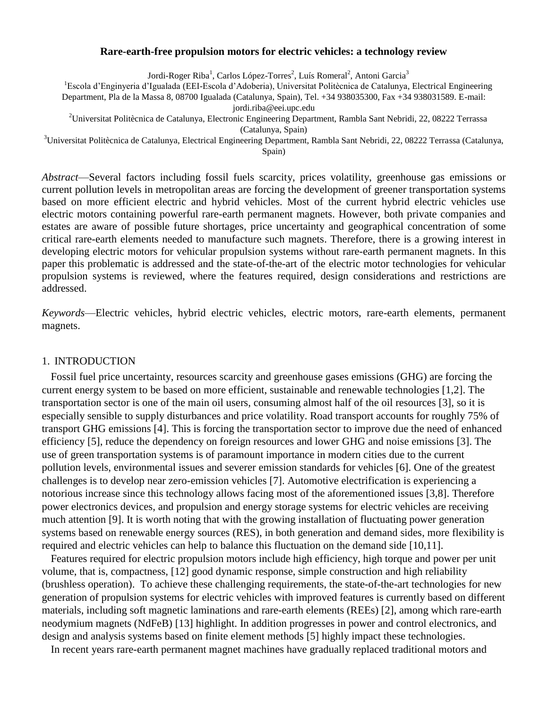#### **Rare-earth-free propulsion motors for electric vehicles: a technology review**

Jordi-Roger Riba<sup>1</sup>, Carlos López-Torres<sup>2</sup>, Luís Romeral<sup>2</sup>, Antoni Garcia<sup>3</sup>

<sup>1</sup>Escola d'Enginyeria d'Igualada (EEI-Escola d'Adoberia), Universitat Politècnica de Catalunya, Electrical Engineering

Department, Pla de la Massa 8, 08700 Igualada (Catalunya, Spain), Tel. +34 938035300, Fax +34 938031589. E-mail:

[jordi.riba@eei.upc.edu](mailto:jordi.riba@eei.upc.edu)

<sup>2</sup>Universitat Politècnica de Catalunya, Electronic Engineering Department, Rambla Sant Nebridi, 22, 08222 Terrassa (Catalunya, Spain)

<sup>3</sup>Universitat Politècnica de Catalunya, Electrical Engineering Department, Rambla Sant Nebridi, 22, 08222 Terrassa (Catalunya, Spain)

*Abstract*—Several factors including fossil fuels scarcity, prices volatility, greenhouse gas emissions or current pollution levels in metropolitan areas are forcing the development of greener transportation systems based on more efficient electric and hybrid vehicles. Most of the current hybrid electric vehicles use electric motors containing powerful rare-earth permanent magnets. However, both private companies and estates are aware of possible future shortages, price uncertainty and geographical concentration of some critical rare-earth elements needed to manufacture such magnets. Therefore, there is a growing interest in developing electric motors for vehicular propulsion systems without rare-earth permanent magnets. In this paper this problematic is addressed and the state-of-the-art of the electric motor technologies for vehicular propulsion systems is reviewed, where the features required, design considerations and restrictions are addressed.

*Keywords*—Electric vehicles, hybrid electric vehicles, electric motors, rare-earth elements, permanent magnets.

#### 1. INTRODUCTION

Fossil fuel price uncertainty, resources scarcity and greenhouse gases emissions (GHG) are forcing the current energy system to be based on more efficient, sustainable and renewable technologies [1,2]. The transportation sector is one of the main oil users, consuming almost half of the oil resources [3], so it is especially sensible to supply disturbances and price volatility. Road transport accounts for roughly 75% of transport GHG emissions [4]. This is forcing the transportation sector to improve due the need of enhanced efficiency [5], reduce the dependency on foreign resources and lower GHG and noise emissions [3]. The use of green transportation systems is of paramount importance in modern cities due to the current pollution levels, environmental issues and severer emission standards for vehicles [6]. One of the greatest challenges is to develop near zero-emission vehicles [7]. Automotive electrification is experiencing a notorious increase since this technology allows facing most of the aforementioned issues [3,8]. Therefore power electronics devices, and propulsion and energy storage systems for electric vehicles are receiving much attention [9]. It is worth noting that with the growing installation of fluctuating power generation systems based on renewable energy sources (RES), in both generation and demand sides, more flexibility is required and electric vehicles can help to balance this fluctuation on the demand side [10,11].

Features required for electric propulsion motors include high efficiency, high torque and power per unit volume, that is, compactness, [12] good dynamic response, simple construction and high reliability (brushless operation). To achieve these challenging requirements, the state-of-the-art technologies for new generation of propulsion systems for electric vehicles with improved features is currently based on different materials, including soft magnetic laminations and rare-earth elements (REEs) [2], among which rare-earth neodymium magnets (NdFeB) [13] highlight. In addition progresses in power and control electronics, and design and analysis systems based on finite element methods [5] highly impact these technologies.

In recent years rare-earth permanent magnet machines have gradually replaced traditional motors and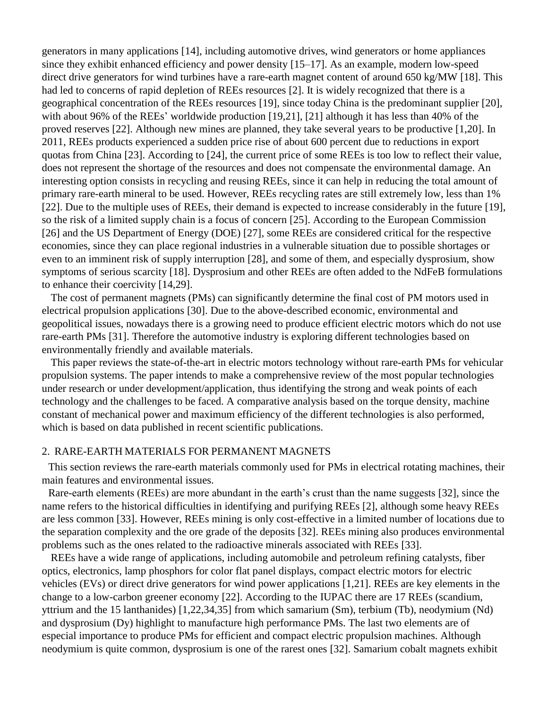generators in many applications [14], including automotive drives, wind generators or home appliances since they exhibit enhanced efficiency and power density [15–17]. As an example, modern low-speed direct drive generators for wind turbines have a rare-earth magnet content of around 650 kg/MW [18]. This had led to concerns of rapid depletion of REEs resources [2]. It is widely recognized that there is a geographical concentration of the REEs resources [19], since today China is the predominant supplier [20], with about 96% of the REEs' worldwide production [19,21], [21] although it has less than 40% of the proved reserves [22]. Although new mines are planned, they take several years to be productive [1,20]. In 2011, REEs products experienced a sudden price rise of about 600 percent due to reductions in export quotas from China [23]. According to [24], the current price of some REEs is too low to reflect their value, does not represent the shortage of the resources and does not compensate the environmental damage. An interesting option consists in recycling and reusing REEs, since it can help in reducing the total amount of primary rare-earth mineral to be used. However, REEs recycling rates are still extremely low, less than 1% [22]. Due to the multiple uses of REEs, their demand is expected to increase considerably in the future [19], so the risk of a limited supply chain is a focus of concern [25]. According to the European Commission [26] and the US Department of Energy (DOE) [27], some REEs are considered critical for the respective economies, since they can place regional industries in a vulnerable situation due to possible shortages or even to an imminent risk of supply interruption [28], and some of them, and especially dysprosium, show symptoms of serious scarcity [18]. Dysprosium and other REEs are often added to the NdFeB formulations to enhance their coercivity [14,29].

The cost of permanent magnets (PMs) can significantly determine the final cost of PM motors used in electrical propulsion applications [30]. Due to the above-described economic, environmental and geopolitical issues, nowadays there is a growing need to produce efficient electric motors which do not use rare-earth PMs [31]. Therefore the automotive industry is exploring different technologies based on environmentally friendly and available materials.

This paper reviews the state-of-the-art in electric motors technology without rare-earth PMs for vehicular propulsion systems. The paper intends to make a comprehensive review of the most popular technologies under research or under development/application, thus identifying the strong and weak points of each technology and the challenges to be faced. A comparative analysis based on the torque density, machine constant of mechanical power and maximum efficiency of the different technologies is also performed, which is based on data published in recent scientific publications.

# 2. RARE-EARTH MATERIALS FOR PERMANENT MAGNETS

This section reviews the rare-earth materials commonly used for PMs in electrical rotating machines, their main features and environmental issues.

Rare-earth elements (REEs) are more abundant in the earth's crust than the name suggests [32], since the name refers to the historical difficulties in identifying and purifying REEs [2], although some heavy REEs are less common [33]. However, REEs mining is only cost-effective in a limited number of locations due to the separation complexity and the ore grade of the deposits [32]. REEs mining also produces environmental problems such as the ones related to the radioactive minerals associated with REEs [33].

REEs have a wide range of applications, including automobile and petroleum refining catalysts, fiber optics, electronics, lamp phosphors for color flat panel displays, compact electric motors for electric vehicles (EVs) or direct drive generators for wind power applications [1,21]. REEs are key elements in the change to a low-carbon greener economy [22]. According to the IUPAC there are 17 REEs (scandium, yttrium and the 15 lanthanides) [1,22,34,35] from which samarium (Sm), terbium (Tb), neodymium (Nd) and dysprosium (Dy) highlight to manufacture high performance PMs. The last two elements are of especial importance to produce PMs for efficient and compact electric propulsion machines. Although neodymium is quite common, dysprosium is one of the rarest ones [32]. Samarium cobalt magnets exhibit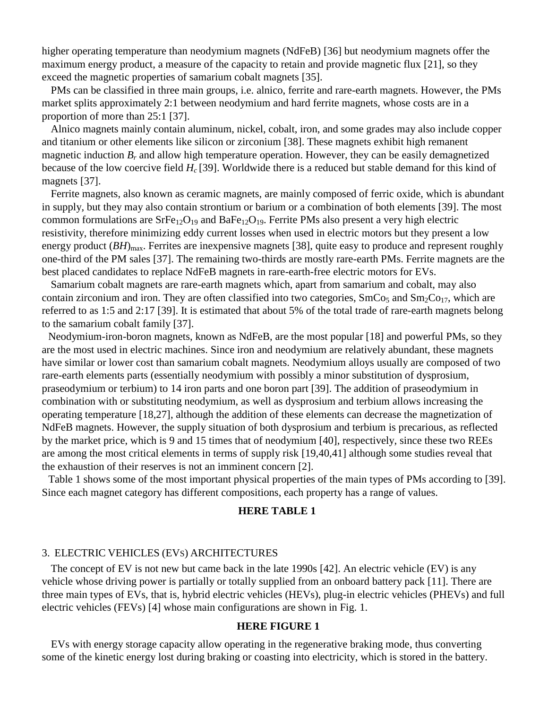higher operating temperature than neodymium magnets (NdFeB) [36] but neodymium magnets offer the maximum energy product, a measure of the capacity to retain and provide magnetic flux [21], so they exceed the magnetic properties of samarium cobalt magnets [35].

PMs can be classified in three main groups, i.e. alnico, ferrite and rare-earth magnets. However, the PMs market splits approximately 2:1 between neodymium and hard ferrite magnets, whose costs are in a proportion of more than 25:1 [37].

Alnico magnets mainly contain aluminum, nickel, cobalt, iron, and some grades may also include copper and titanium or other elements like silicon or zirconium [38]. These magnets exhibit high remanent magnetic induction *B<sup>r</sup>* and allow high temperature operation. However, they can be easily demagnetized because of the low coercive field *H<sup>c</sup>* [39]. Worldwide there is a reduced but stable demand for this kind of magnets [37].

Ferrite magnets, also known as ceramic magnets, are mainly composed of ferric oxide, which is abundant in supply, but they may also contain strontium or barium or a combination of both elements [39]. The most common formulations are  $S_fFe_{12}O_{19}$  and  $BaFe_{12}O_{19}$ . Ferrite PMs also present a very high electric resistivity, therefore minimizing eddy current losses when used in electric motors but they present a low energy product (*BH*)<sub>max</sub>. Ferrites are inexpensive magnets [38], quite easy to produce and represent roughly one-third of the PM sales [37]. The remaining two-thirds are mostly rare-earth PMs. Ferrite magnets are the best placed candidates to replace NdFeB magnets in rare-earth-free electric motors for EVs.

Samarium cobalt magnets are rare-earth magnets which, apart from samarium and cobalt, may also contain zirconium and iron. They are often classified into two categories,  $\rm SmCo_5$  and  $\rm Sm_2Co_{17}$ , which are referred to as 1:5 and 2:17 [39]. It is estimated that about 5% of the total trade of rare-earth magnets belong to the samarium cobalt family [37].

Neodymium-iron-boron magnets, known as NdFeB, are the most popular [18] and powerful PMs, so they are the most used in electric machines. Since iron and neodymium are relatively abundant, these magnets have similar or lower cost than samarium cobalt magnets. Neodymium alloys usually are composed of two rare-earth elements parts (essentially neodymium with possibly a minor substitution of dysprosium, praseodymium or terbium) to 14 iron parts and one boron part [39]. The addition of praseodymium in combination with or substituting neodymium, as well as dysprosium and terbium allows increasing the operating temperature [18,27], although the addition of these elements can decrease the magnetization of NdFeB magnets. However, the supply situation of both dysprosium and terbium is precarious, as reflected by the market price, which is 9 and 15 times that of neodymium [40], respectively, since these two REEs are among the most critical elements in terms of supply risk [19,40,41] although some studies reveal that the exhaustion of their reserves is not an imminent concern [2].

Table 1 shows some of the most important physical properties of the main types of PMs according to [39]. Since each magnet category has different compositions, each property has a range of values.

#### **HERE TABLE 1**

#### 3. ELECTRIC VEHICLES (EVS) ARCHITECTURES

The concept of EV is not new but came back in the late 1990s [42]. An electric vehicle (EV) is any vehicle whose driving power is partially or totally supplied from an onboard battery pack [11]. There are three main types of EVs, that is, hybrid electric vehicles (HEVs), plug-in electric vehicles (PHEVs) and full electric vehicles (FEVs) [4] whose main configurations are shown in Fig. 1.

#### **HERE FIGURE 1**

EVs with energy storage capacity allow operating in the regenerative braking mode, thus converting some of the kinetic energy lost during braking or coasting into electricity, which is stored in the battery.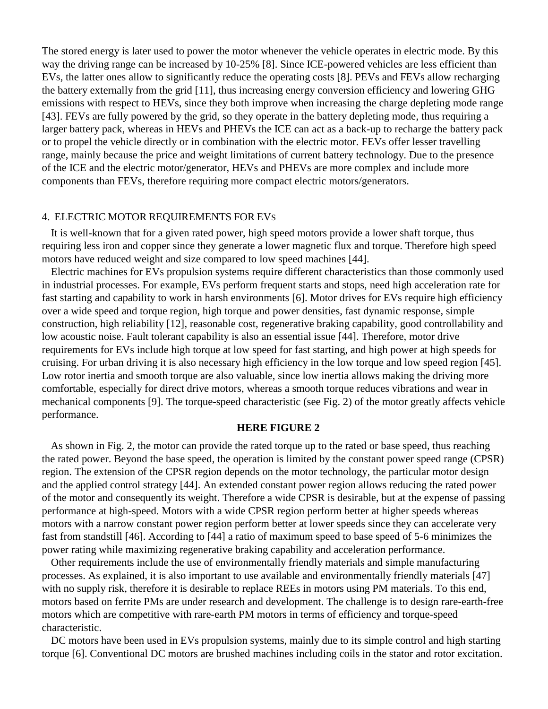The stored energy is later used to power the motor whenever the vehicle operates in electric mode. By this way the driving range can be increased by 10-25% [8]. Since ICE-powered vehicles are less efficient than EVs, the latter ones allow to significantly reduce the operating costs [8]. PEVs and FEVs allow recharging the battery externally from the grid [11], thus increasing energy conversion efficiency and lowering GHG emissions with respect to HEVs, since they both improve when increasing the charge depleting mode range [43]. FEVs are fully powered by the grid, so they operate in the battery depleting mode, thus requiring a larger battery pack, whereas in HEVs and PHEVs the ICE can act as a back-up to recharge the battery pack or to propel the vehicle directly or in combination with the electric motor. FEVs offer lesser travelling range, mainly because the price and weight limitations of current battery technology. Due to the presence of the ICE and the electric motor/generator, HEVs and PHEVs are more complex and include more components than FEVs, therefore requiring more compact electric motors/generators.

# 4. ELECTRIC MOTOR REQUIREMENTS FOR EVS

It is well-known that for a given rated power, high speed motors provide a lower shaft torque, thus requiring less iron and copper since they generate a lower magnetic flux and torque. Therefore high speed motors have reduced weight and size compared to low speed machines [44].

Electric machines for EVs propulsion systems require different characteristics than those commonly used in industrial processes. For example, EVs perform frequent starts and stops, need high acceleration rate for fast starting and capability to work in harsh environments [6]. Motor drives for EVs require high efficiency over a wide speed and torque region, high torque and power densities, fast dynamic response, simple construction, high reliability [12], reasonable cost, regenerative braking capability, good controllability and low acoustic noise. Fault tolerant capability is also an essential issue [44]. Therefore, motor drive requirements for EVs include high torque at low speed for fast starting, and high power at high speeds for cruising. For urban driving it is also necessary high efficiency in the low torque and low speed region [45]. Low rotor inertia and smooth torque are also valuable, since low inertia allows making the driving more comfortable, especially for direct drive motors, whereas a smooth torque reduces vibrations and wear in mechanical components [9]. The torque-speed characteristic (see Fig. 2) of the motor greatly affects vehicle performance.

## **HERE FIGURE 2**

As shown in Fig. 2, the motor can provide the rated torque up to the rated or base speed, thus reaching the rated power. Beyond the base speed, the operation is limited by the constant power speed range (CPSR) region. The extension of the CPSR region depends on the motor technology, the particular motor design and the applied control strategy [44]. An extended constant power region allows reducing the rated power of the motor and consequently its weight. Therefore a wide CPSR is desirable, but at the expense of passing performance at high-speed. Motors with a wide CPSR region perform better at higher speeds whereas motors with a narrow constant power region perform better at lower speeds since they can accelerate very fast from standstill [46]. According to [44] a ratio of maximum speed to base speed of 5-6 minimizes the power rating while maximizing regenerative braking capability and acceleration performance.

Other requirements include the use of environmentally friendly materials and simple manufacturing processes. As explained, it is also important to use available and environmentally friendly materials [47] with no supply risk, therefore it is desirable to replace REEs in motors using PM materials. To this end, motors based on ferrite PMs are under research and development. The challenge is to design rare-earth-free motors which are competitive with rare-earth PM motors in terms of efficiency and torque-speed characteristic.

DC motors have been used in EVs propulsion systems, mainly due to its simple control and high starting torque [6]. Conventional DC motors are brushed machines including coils in the stator and rotor excitation.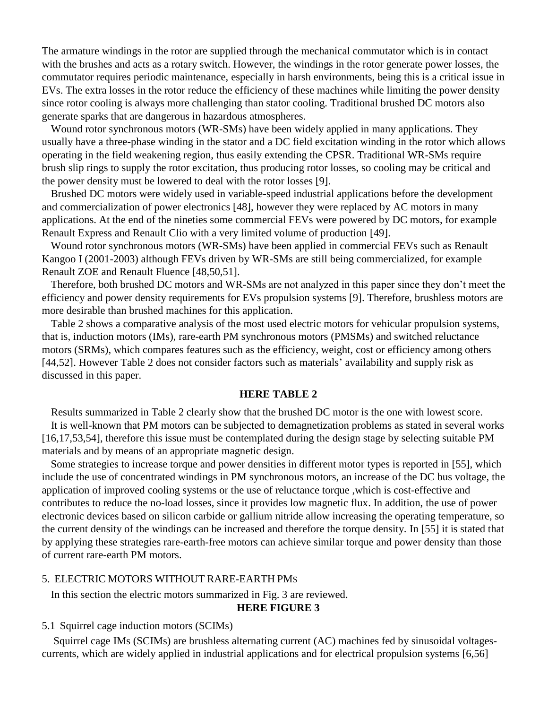The armature windings in the rotor are supplied through the mechanical commutator which is in contact with the brushes and acts as a rotary switch. However, the windings in the rotor generate power losses, the commutator requires periodic maintenance, especially in harsh environments, being this is a critical issue in EVs. The extra losses in the rotor reduce the efficiency of these machines while limiting the power density since rotor cooling is always more challenging than stator cooling. Traditional brushed DC motors also generate sparks that are dangerous in hazardous atmospheres.

Wound rotor synchronous motors (WR-SMs) have been widely applied in many applications. They usually have a three-phase winding in the stator and a DC field excitation winding in the rotor which allows operating in the field weakening region, thus easily extending the CPSR. Traditional WR-SMs require brush slip rings to supply the rotor excitation, thus producing rotor losses, so cooling may be critical and the power density must be lowered to deal with the rotor losses [9].

Brushed DC motors were widely used in variable-speed industrial applications before the development and commercialization of power electronics [48], however they were replaced by AC motors in many applications. At the end of the nineties some commercial FEVs were powered by DC motors, for example Renault Express and Renault Clio with a very limited volume of production [49].

Wound rotor synchronous motors (WR-SMs) have been applied in commercial FEVs such as Renault Kangoo I (2001-2003) although FEVs driven by WR-SMs are still being commercialized, for example Renault ZOE and Renault Fluence [48,50,51].

Therefore, both brushed DC motors and WR-SMs are not analyzed in this paper since they don't meet the efficiency and power density requirements for EVs propulsion systems [9]. Therefore, brushless motors are more desirable than brushed machines for this application.

Table 2 shows a comparative analysis of the most used electric motors for vehicular propulsion systems, that is, induction motors (IMs), rare-earth PM synchronous motors (PMSMs) and switched reluctance motors (SRMs), which compares features such as the efficiency, weight, cost or efficiency among others [44,52]. However Table 2 does not consider factors such as materials' availability and supply risk as discussed in this paper.

# **HERE TABLE 2**

Results summarized in Table 2 clearly show that the brushed DC motor is the one with lowest score. It is well-known that PM motors can be subjected to demagnetization problems as stated in several works [16,17,53,54], therefore this issue must be contemplated during the design stage by selecting suitable PM materials and by means of an appropriate magnetic design.

Some strategies to increase torque and power densities in different motor types is reported in [55], which include the use of concentrated windings in PM synchronous motors, an increase of the DC bus voltage, the application of improved cooling systems or the use of reluctance torque ,which is cost-effective and contributes to reduce the no-load losses, since it provides low magnetic flux. In addition, the use of power electronic devices based on silicon carbide or gallium nitride allow increasing the operating temperature, so the current density of the windings can be increased and therefore the torque density. In [55] it is stated that by applying these strategies rare-earth-free motors can achieve similar torque and power density than those of current rare-earth PM motors.

# 5. ELECTRIC MOTORS WITHOUT RARE-EARTH PMS

In this section the electric motors summarized in Fig. 3 are reviewed.

#### **HERE FIGURE 3**

# 5.1 Squirrel cage induction motors (SCIMs)

Squirrel cage IMs (SCIMs) are brushless alternating current (AC) machines fed by sinusoidal voltagescurrents, which are widely applied in industrial applications and for electrical propulsion systems [6,56]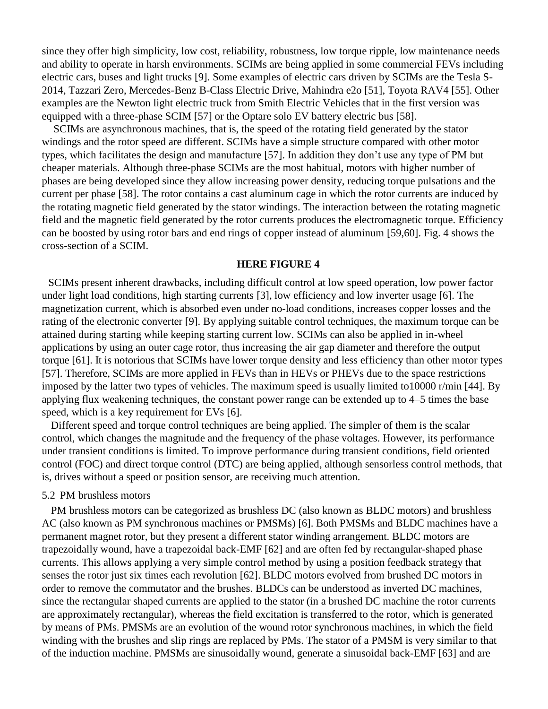since they offer high simplicity, low cost, reliability, robustness, low torque ripple, low maintenance needs and ability to operate in harsh environments. SCIMs are being applied in some commercial FEVs including electric cars, buses and light trucks [9]. Some examples of electric cars driven by SCIMs are the Tesla S-2014, Tazzari Zero, Mercedes-Benz B-Class Electric Drive, Mahindra e2o [51], Toyota RAV4 [55]. Other examples are the Newton light electric truck from Smith Electric Vehicles that in the first version was equipped with a three-phase SCIM [57] or the Optare solo EV battery electric bus [58].

SCIMs are asynchronous machines, that is, the speed of the rotating field generated by the stator windings and the rotor speed are different. SCIMs have a simple structure compared with other motor types, which facilitates the design and manufacture [57]. In addition they don't use any type of PM but cheaper materials. Although three-phase SCIMs are the most habitual, motors with higher number of phases are being developed since they allow increasing power density, reducing torque pulsations and the current per phase [58]. The rotor contains a cast aluminum cage in which the rotor currents are induced by the rotating magnetic field generated by the stator windings. The interaction between the rotating magnetic field and the magnetic field generated by the rotor currents produces the electromagnetic torque. Efficiency can be boosted by using rotor bars and end rings of copper instead of aluminum [59,60]. Fig. 4 shows the cross-section of a SCIM.

#### **HERE FIGURE 4**

SCIMs present inherent drawbacks, including difficult control at low speed operation, low power factor under light load conditions, high starting currents [3], low efficiency and low inverter usage [6]. The magnetization current, which is absorbed even under no-load conditions, increases copper losses and the rating of the electronic converter [9]. By applying suitable control techniques, the maximum torque can be attained during starting while keeping starting current low. SCIMs can also be applied in in-wheel applications by using an outer cage rotor, thus increasing the air gap diameter and therefore the output torque [61]. It is notorious that SCIMs have lower torque density and less efficiency than other motor types [57]. Therefore, SCIMs are more applied in FEVs than in HEVs or PHEVs due to the space restrictions imposed by the latter two types of vehicles. The maximum speed is usually limited to10000 r/min [44]. By applying flux weakening techniques, the constant power range can be extended up to 4–5 times the base speed, which is a key requirement for EVs [6].

Different speed and torque control techniques are being applied. The simpler of them is the scalar control, which changes the magnitude and the frequency of the phase voltages. However, its performance under transient conditions is limited. To improve performance during transient conditions, field oriented control (FOC) and direct torque control (DTC) are being applied, although sensorless control methods, that is, drives without a speed or position sensor, are receiving much attention.

#### 5.2 PM brushless motors

PM brushless motors can be categorized as brushless DC (also known as BLDC motors) and brushless AC (also known as PM synchronous machines or PMSMs) [6]. Both PMSMs and BLDC machines have a permanent magnet rotor, but they present a different stator winding arrangement. BLDC motors are trapezoidally wound, have a trapezoidal back-EMF [62] and are often fed by rectangular-shaped phase currents. This allows applying a very simple control method by using a position feedback strategy that senses the rotor just six times each revolution [62]. BLDC motors evolved from brushed DC motors in order to remove the commutator and the brushes. BLDCs can be understood as inverted DC machines, since the rectangular shaped currents are applied to the stator (in a brushed DC machine the rotor currents are approximately rectangular), whereas the field excitation is transferred to the rotor, which is generated by means of PMs. PMSMs are an evolution of the wound rotor synchronous machines, in which the field winding with the brushes and slip rings are replaced by PMs. The stator of a PMSM is very similar to that of the induction machine. PMSMs are sinusoidally wound, generate a sinusoidal back-EMF [63] and are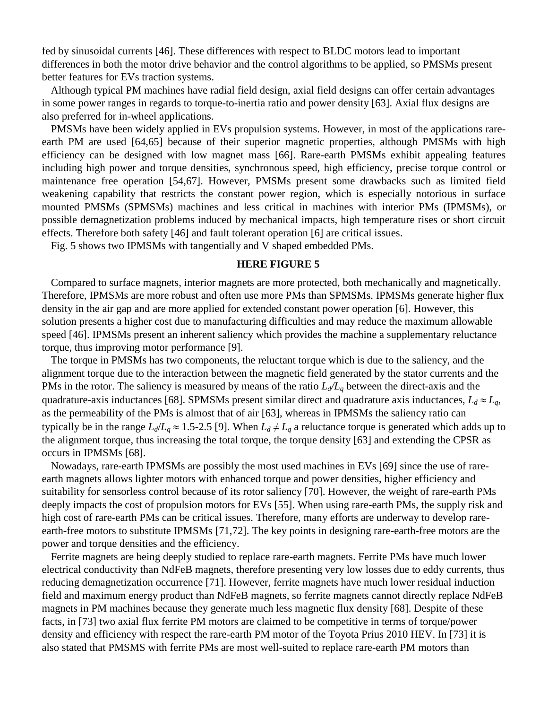fed by sinusoidal currents [46]. These differences with respect to BLDC motors lead to important differences in both the motor drive behavior and the control algorithms to be applied, so PMSMs present better features for EVs traction systems.

Although typical PM machines have radial field design, axial field designs can offer certain advantages in some power ranges in regards to torque-to-inertia ratio and power density [63]. Axial flux designs are also preferred for in-wheel applications.

PMSMs have been widely applied in EVs propulsion systems. However, in most of the applications rareearth PM are used [64,65] because of their superior magnetic properties, although PMSMs with high efficiency can be designed with low magnet mass [66]. Rare-earth PMSMs exhibit appealing features including high power and torque densities, synchronous speed, high efficiency, precise torque control or maintenance free operation [54,67]. However, PMSMs present some drawbacks such as limited field weakening capability that restricts the constant power region, which is especially notorious in surface mounted PMSMs (SPMSMs) machines and less critical in machines with interior PMs (IPMSMs), or possible demagnetization problems induced by mechanical impacts, high temperature rises or short circuit effects. Therefore both safety [46] and fault tolerant operation [6] are critical issues.

Fig. 5 shows two IPMSMs with tangentially and V shaped embedded PMs.

#### **HERE FIGURE 5**

Compared to surface magnets, interior magnets are more protected, both mechanically and magnetically. Therefore, IPMSMs are more robust and often use more PMs than SPMSMs. IPMSMs generate higher flux density in the air gap and are more applied for extended constant power operation [6]. However, this solution presents a higher cost due to manufacturing difficulties and may reduce the maximum allowable speed [46]. IPMSMs present an inherent saliency which provides the machine a supplementary reluctance torque, thus improving motor performance [9].

The torque in PMSMs has two components, the reluctant torque which is due to the saliency, and the alignment torque due to the interaction between the magnetic field generated by the stator currents and the PMs in the rotor. The saliency is measured by means of the ratio  $L_d/L_q$  between the direct-axis and the quadrature-axis inductances [68]. SPMSMs present similar direct and quadrature axis inductances,  $L_d \approx L_a$ , as the permeability of the PMs is almost that of air [63], whereas in IPMSMs the saliency ratio can typically be in the range  $L_d/L_q \approx 1.5$ -2.5 [9]. When  $L_d \neq L_q$  a reluctance torque is generated which adds up to the alignment torque, thus increasing the total torque, the torque density [63] and extending the CPSR as occurs in IPMSMs [68].

Nowadays, rare-earth IPMSMs are possibly the most used machines in EVs [69] since the use of rareearth magnets allows lighter motors with enhanced torque and power densities, higher efficiency and suitability for sensorless control because of its rotor saliency [70]. However, the weight of rare-earth PMs deeply impacts the cost of propulsion motors for EVs [55]. When using rare-earth PMs, the supply risk and high cost of rare-earth PMs can be critical issues. Therefore, many efforts are underway to develop rareearth-free motors to substitute IPMSMs [71,72]. The key points in designing rare-earth-free motors are the power and torque densities and the efficiency.

Ferrite magnets are being deeply studied to replace rare-earth magnets. Ferrite PMs have much lower electrical conductivity than NdFeB magnets, therefore presenting very low losses due to eddy currents, thus reducing demagnetization occurrence [71]. However, ferrite magnets have much lower residual induction field and maximum energy product than NdFeB magnets, so ferrite magnets cannot directly replace NdFeB magnets in PM machines because they generate much less magnetic flux density [68]. Despite of these facts, in [73] two axial flux ferrite PM motors are claimed to be competitive in terms of torque/power density and efficiency with respect the rare-earth PM motor of the Toyota Prius 2010 HEV. In [73] it is also stated that PMSMS with ferrite PMs are most well-suited to replace rare-earth PM motors than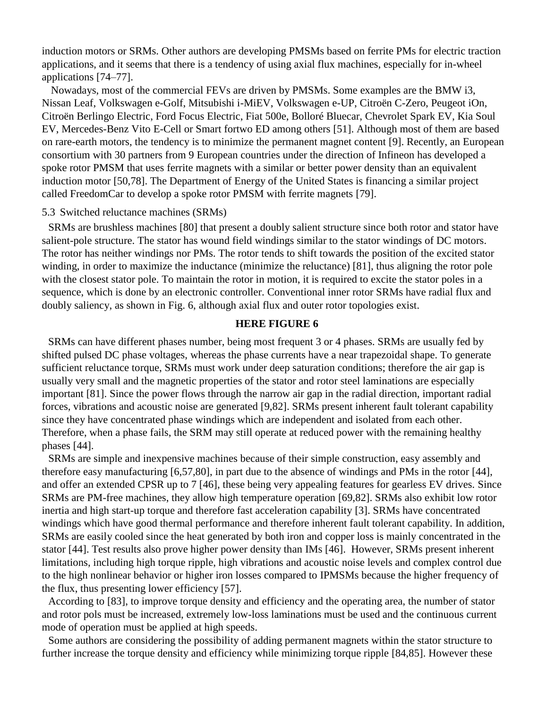induction motors or SRMs. Other authors are developing PMSMs based on ferrite PMs for electric traction applications, and it seems that there is a tendency of using axial flux machines, especially for in-wheel applications [74–77].

Nowadays, most of the commercial FEVs are driven by PMSMs. Some examples are the BMW i3, Nissan Leaf, Volkswagen e-Golf, Mitsubishi i-MiEV, Volkswagen e-UP, Citroën C-Zero, Peugeot iOn, Citroën Berlingo Electric, Ford Focus Electric, Fiat 500e, Bolloré Bluecar, Chevrolet Spark EV, Kia Soul EV, Mercedes-Benz Vito E-Cell or Smart fortwo ED among others [51]. Although most of them are based on rare-earth motors, the tendency is to minimize the permanent magnet content [9]. Recently, an European consortium with 30 partners from 9 European countries under the direction of Infineon has developed a spoke rotor PMSM that uses ferrite magnets with a similar or better power density than an equivalent induction motor [50,78]. The Department of Energy of the United States is financing a similar project called FreedomCar to develop a spoke rotor PMSM with ferrite magnets [79].

## 5.3 Switched reluctance machines (SRMs)

SRMs are brushless machines [80] that present a doubly salient structure since both rotor and stator have salient-pole structure. The stator has wound field windings similar to the stator windings of DC motors. The rotor has neither windings nor PMs. The rotor tends to shift towards the position of the excited stator winding, in order to maximize the inductance (minimize the reluctance) [81], thus aligning the rotor pole with the closest stator pole. To maintain the rotor in motion, it is required to excite the stator poles in a sequence, which is done by an electronic controller. Conventional inner rotor SRMs have radial flux and doubly saliency, as shown in Fig. 6, although axial flux and outer rotor topologies exist.

## **HERE FIGURE 6**

SRMs can have different phases number, being most frequent 3 or 4 phases. SRMs are usually fed by shifted pulsed DC phase voltages, whereas the phase currents have a near trapezoidal shape. To generate sufficient reluctance torque, SRMs must work under deep saturation conditions; therefore the air gap is usually very small and the magnetic properties of the stator and rotor steel laminations are especially important [81]. Since the power flows through the narrow air gap in the radial direction, important radial forces, vibrations and acoustic noise are generated [9,82]. SRMs present inherent fault tolerant capability since they have concentrated phase windings which are independent and isolated from each other. Therefore, when a phase fails, the SRM may still operate at reduced power with the remaining healthy phases [44].

SRMs are simple and inexpensive machines because of their simple construction, easy assembly and therefore easy manufacturing [6,57,80], in part due to the absence of windings and PMs in the rotor [44], and offer an extended CPSR up to 7 [46], these being very appealing features for gearless EV drives. Since SRMs are PM-free machines, they allow high temperature operation [69,82]. SRMs also exhibit low rotor inertia and high start-up torque and therefore fast acceleration capability [3]. SRMs have concentrated windings which have good thermal performance and therefore inherent fault tolerant capability. In addition, SRMs are easily cooled since the heat generated by both iron and copper loss is mainly concentrated in the stator [44]. Test results also prove higher power density than IMs [46]. However, SRMs present inherent limitations, including high torque ripple, high vibrations and acoustic noise levels and complex control due to the high nonlinear behavior or higher iron losses compared to IPMSMs because the higher frequency of the flux, thus presenting lower efficiency [57].

According to [83], to improve torque density and efficiency and the operating area, the number of stator and rotor pols must be increased, extremely low-loss laminations must be used and the continuous current mode of operation must be applied at high speeds.

Some authors are considering the possibility of adding permanent magnets within the stator structure to further increase the torque density and efficiency while minimizing torque ripple [84,85]. However these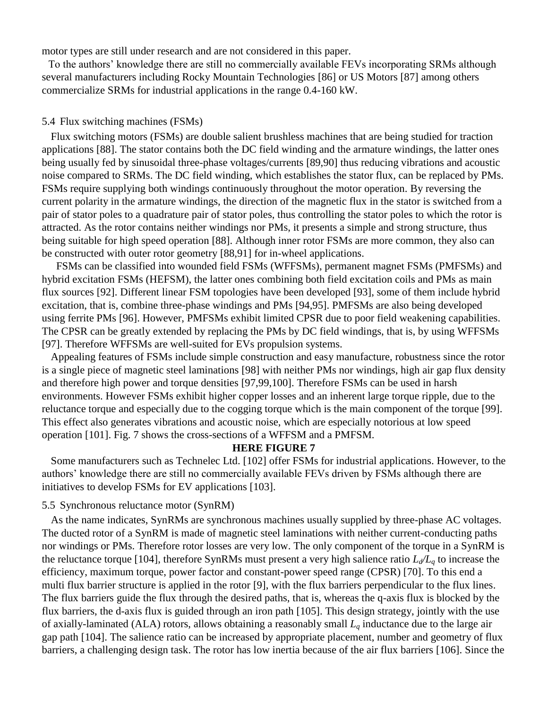motor types are still under research and are not considered in this paper.

To the authors' knowledge there are still no commercially available FEVs incorporating SRMs although several manufacturers including Rocky Mountain Technologies [86] or US Motors [87] among others commercialize SRMs for industrial applications in the range 0.4-160 kW.

## 5.4 Flux switching machines (FSMs)

Flux switching motors (FSMs) are double salient brushless machines that are being studied for traction applications [88]. The stator contains both the DC field winding and the armature windings, the latter ones being usually fed by sinusoidal three-phase voltages/currents [89,90] thus reducing vibrations and acoustic noise compared to SRMs. The DC field winding, which establishes the stator flux, can be replaced by PMs. FSMs require supplying both windings continuously throughout the motor operation. By reversing the current polarity in the armature windings, the direction of the magnetic flux in the stator is switched from a pair of stator poles to a quadrature pair of stator poles, thus controlling the stator poles to which the rotor is attracted. As the rotor contains neither windings nor PMs, it presents a simple and strong structure, thus being suitable for high speed operation [88]. Although inner rotor FSMs are more common, they also can be constructed with outer rotor geometry [88,91] for in-wheel applications.

 FSMs can be classified into wounded field FSMs (WFFSMs), permanent magnet FSMs (PMFSMs) and hybrid excitation FSMs (HEFSM), the latter ones combining both field excitation coils and PMs as main flux sources [92]. Different linear FSM topologies have been developed [93], some of them include hybrid excitation, that is, combine three-phase windings and PMs [94,95]. PMFSMs are also being developed using ferrite PMs [96]. However, PMFSMs exhibit limited CPSR due to poor field weakening capabilities. The CPSR can be greatly extended by replacing the PMs by DC field windings, that is, by using WFFSMs [97]. Therefore WFFSMs are well-suited for EVs propulsion systems.

Appealing features of FSMs include simple construction and easy manufacture, robustness since the rotor is a single piece of magnetic steel laminations [98] with neither PMs nor windings, high air gap flux density and therefore high power and torque densities [97,99,100]. Therefore FSMs can be used in harsh environments. However FSMs exhibit higher copper losses and an inherent large torque ripple, due to the reluctance torque and especially due to the cogging torque which is the main component of the torque [99]. This effect also generates vibrations and acoustic noise, which are especially notorious at low speed operation [101]. Fig. 7 shows the cross-sections of a WFFSM and a PMFSM.

## **HERE FIGURE 7**

Some manufacturers such as Technelec Ltd. [102] offer FSMs for industrial applications. However, to the authors' knowledge there are still no commercially available FEVs driven by FSMs although there are initiatives to develop FSMs for EV applications [103].

## 5.5 Synchronous reluctance motor (SynRM)

As the name indicates, SynRMs are synchronous machines usually supplied by three-phase AC voltages. The ducted rotor of a SynRM is made of magnetic steel laminations with neither current-conducting paths nor windings or PMs. Therefore rotor losses are very low. The only component of the torque in a SynRM is the reluctance torque [104], therefore SynRMs must present a very high salience ratio  $L_d/L_q$  to increase the efficiency, maximum torque, power factor and constant-power speed range (CPSR) [70]. To this end a multi flux barrier structure is applied in the rotor [9], with the flux barriers perpendicular to the flux lines. The flux barriers guide the flux through the desired paths, that is, whereas the q-axis flux is blocked by the flux barriers, the d-axis flux is guided through an iron path [105]. This design strategy, jointly with the use of axially-laminated (ALA) rotors, allows obtaining a reasonably small *L<sup>q</sup>* inductance due to the large air gap path [104]. The salience ratio can be increased by appropriate placement, number and geometry of flux barriers, a challenging design task. The rotor has low inertia because of the air flux barriers [106]. Since the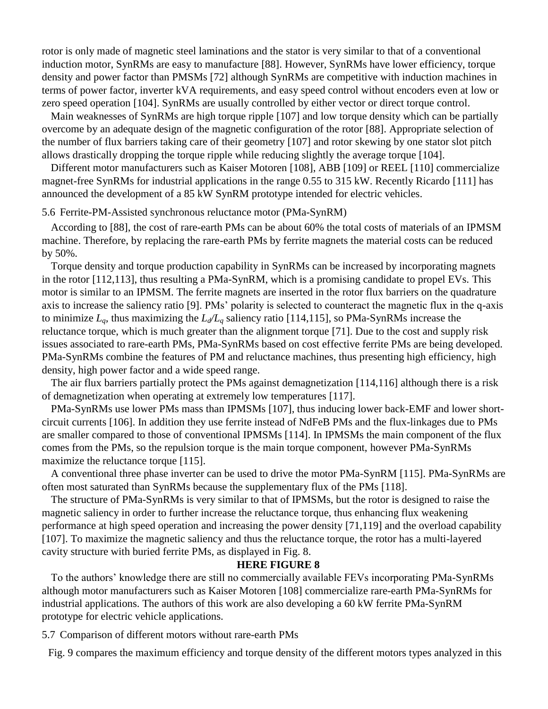rotor is only made of magnetic steel laminations and the stator is very similar to that of a conventional induction motor, SynRMs are easy to manufacture [88]. However, SynRMs have lower efficiency, torque density and power factor than PMSMs [72] although SynRMs are competitive with induction machines in terms of power factor, inverter kVA requirements, and easy speed control without encoders even at low or zero speed operation [104]. SynRMs are usually controlled by either vector or direct torque control.

Main weaknesses of SynRMs are high torque ripple [107] and low torque density which can be partially overcome by an adequate design of the magnetic configuration of the rotor [88]. Appropriate selection of the number of flux barriers taking care of their geometry [107] and rotor skewing by one stator slot pitch allows drastically dropping the torque ripple while reducing slightly the average torque [104].

Different motor manufacturers such as Kaiser Motoren [108], ABB [109] or REEL [110] commercialize magnet-free SynRMs for industrial applications in the range 0.55 to 315 kW. Recently Ricardo [111] has announced the development of a 85 kW SynRM prototype intended for electric vehicles.

## 5.6 Ferrite-PM-Assisted synchronous reluctance motor (PMa-SynRM)

According to [88], the cost of rare-earth PMs can be about 60% the total costs of materials of an IPMSM machine. Therefore, by replacing the rare-earth PMs by ferrite magnets the material costs can be reduced by 50%.

Torque density and torque production capability in SynRMs can be increased by incorporating magnets in the rotor [112,113], thus resulting a PMa-SynRM, which is a promising candidate to propel EVs. This motor is similar to an IPMSM. The ferrite magnets are inserted in the rotor flux barriers on the quadrature axis to increase the saliency ratio [9]. PMs' polarity is selected to counteract the magnetic flux in the q-axis to minimize  $L_q$ , thus maximizing the  $L_d/L_q$  saliency ratio [114,115], so PMa-SynRMs increase the reluctance torque, which is much greater than the alignment torque [71]. Due to the cost and supply risk issues associated to rare-earth PMs, PMa-SynRMs based on cost effective ferrite PMs are being developed. PMa-SynRMs combine the features of PM and reluctance machines, thus presenting high efficiency, high density, high power factor and a wide speed range.

The air flux barriers partially protect the PMs against demagnetization [114,116] although there is a risk of demagnetization when operating at extremely low temperatures [117].

PMa-SynRMs use lower PMs mass than IPMSMs [107], thus inducing lower back-EMF and lower shortcircuit currents [106]. In addition they use ferrite instead of NdFeB PMs and the flux-linkages due to PMs are smaller compared to those of conventional IPMSMs [114]. In IPMSMs the main component of the flux comes from the PMs, so the repulsion torque is the main torque component, however PMa-SynRMs maximize the reluctance torque [115].

A conventional three phase inverter can be used to drive the motor PMa-SynRM [115]. PMa-SynRMs are often most saturated than SynRMs because the supplementary flux of the PMs [118].

The structure of PMa-SynRMs is very similar to that of IPMSMs, but the rotor is designed to raise the magnetic saliency in order to further increase the reluctance torque, thus enhancing flux weakening performance at high speed operation and increasing the power density [71,119] and the overload capability [107]. To maximize the magnetic saliency and thus the reluctance torque, the rotor has a multi-layered cavity structure with buried ferrite PMs, as displayed in Fig. 8.

### **HERE FIGURE 8**

To the authors' knowledge there are still no commercially available FEVs incorporating PMa-SynRMs although motor manufacturers such as Kaiser Motoren [108] commercialize rare-earth PMa-SynRMs for industrial applications. The authors of this work are also developing a 60 kW ferrite PMa-SynRM prototype for electric vehicle applications.

5.7 Comparison of different motors without rare-earth PMs

Fig. 9 compares the maximum efficiency and torque density of the different motors types analyzed in this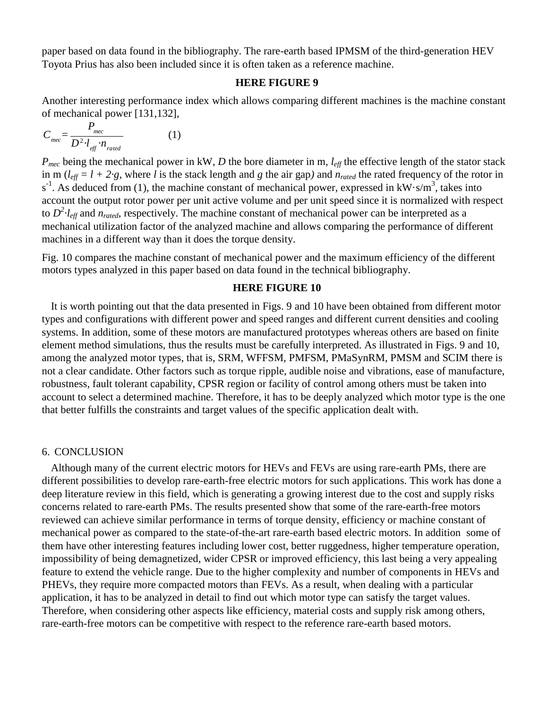paper based on data found in the bibliography. The rare-earth based IPMSM of the third-generation HEV Toyota Prius has also been included since it is often taken as a reference machine.

## **HERE FIGURE 9**

Another interesting performance index which allows comparing different machines is the machine constant of mechanical power [131,132],

$$
C_{\text{mec}} = \frac{P_{\text{mec}}}{D^2 \cdot l_{\text{eff}} \cdot n_{\text{rated}}}
$$
 (1)

*Pmec* being the mechanical power in kW, *D* the bore diameter in m, *leff* the effective length of the stator stack in m ( $l_{eff} = l + 2 \cdot g$ , where *l* is the stack length and *g* the air gap) and  $n_{rated}$  the rated frequency of the rotor in  $s^{-1}$ . As deduced from (1), the machine constant of mechanical power, expressed in kW $\cdot$ s/m<sup>3</sup>, takes into account the output rotor power per unit active volume and per unit speed since it is normalized with respect to  $D^2 \cdot l_{\text{eff}}$  and  $n_{\text{rated}}$ , respectively. The machine constant of mechanical power can be interpreted as a mechanical utilization factor of the analyzed machine and allows comparing the performance of different machines in a different way than it does the torque density.

Fig. 10 compares the machine constant of mechanical power and the maximum efficiency of the different motors types analyzed in this paper based on data found in the technical bibliography.

## **HERE FIGURE 10**

It is worth pointing out that the data presented in Figs. 9 and 10 have been obtained from different motor types and configurations with different power and speed ranges and different current densities and cooling systems. In addition, some of these motors are manufactured prototypes whereas others are based on finite element method simulations, thus the results must be carefully interpreted. As illustrated in Figs. 9 and 10, among the analyzed motor types, that is, SRM, WFFSM, PMFSM, PMaSynRM, PMSM and SCIM there is not a clear candidate. Other factors such as torque ripple, audible noise and vibrations, ease of manufacture, robustness, fault tolerant capability, CPSR region or facility of control among others must be taken into account to select a determined machine. Therefore, it has to be deeply analyzed which motor type is the one that better fulfills the constraints and target values of the specific application dealt with.

#### 6. CONCLUSION

Although many of the current electric motors for HEVs and FEVs are using rare-earth PMs, there are different possibilities to develop rare-earth-free electric motors for such applications. This work has done a deep literature review in this field, which is generating a growing interest due to the cost and supply risks concerns related to rare-earth PMs. The results presented show that some of the rare-earth-free motors reviewed can achieve similar performance in terms of torque density, efficiency or machine constant of mechanical power as compared to the state-of-the-art rare-earth based electric motors. In addition some of them have other interesting features including lower cost, better ruggedness, higher temperature operation, impossibility of being demagnetized, wider CPSR or improved efficiency, this last being a very appealing feature to extend the vehicle range. Due to the higher complexity and number of components in HEVs and PHEVs, they require more compacted motors than FEVs. As a result, when dealing with a particular application, it has to be analyzed in detail to find out which motor type can satisfy the target values. Therefore, when considering other aspects like efficiency, material costs and supply risk among others, rare-earth-free motors can be competitive with respect to the reference rare-earth based motors.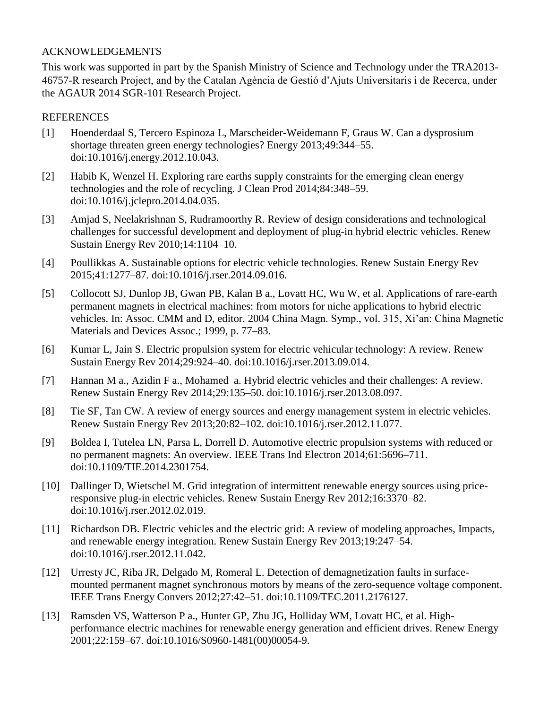# ACKNOWLEDGEMENTS

This work was supported in part by the Spanish Ministry of Science and Technology under the TRA2013- 46757-R research Project, and by the Catalan Agència de Gestió d'Ajuts Universitaris i de Recerca, under the AGAUR 2014 SGR-101 Research Project.

# REFERENCES

- [1] Hoenderdaal S, Tercero Espinoza L, Marscheider-Weidemann F, Graus W. Can a dysprosium shortage threaten green energy technologies? Energy 2013;49:344–55. doi:10.1016/j.energy.2012.10.043.
- [2] Habib K, Wenzel H. Exploring rare earths supply constraints for the emerging clean energy technologies and the role of recycling. J Clean Prod 2014;84:348–59. doi:10.1016/j.jclepro.2014.04.035.
- [3] Amjad S, Neelakrishnan S, Rudramoorthy R. Review of design considerations and technological challenges for successful development and deployment of plug-in hybrid electric vehicles. Renew Sustain Energy Rev 2010;14:1104–10.
- [4] Poullikkas A. Sustainable options for electric vehicle technologies. Renew Sustain Energy Rev 2015;41:1277–87. doi:10.1016/j.rser.2014.09.016.
- [5] Collocott SJ, Dunlop JB, Gwan PB, Kalan B a., Lovatt HC, Wu W, et al. Applications of rare-earth permanent magnets in electrical machines: from motors for niche applications to hybrid electric vehicles. In: Assoc. CMM and D, editor. 2004 China Magn. Symp., vol. 315, Xi'an: China Magnetic Materials and Devices Assoc.; 1999, p. 77–83.
- [6] Kumar L, Jain S. Electric propulsion system for electric vehicular technology: A review. Renew Sustain Energy Rev 2014;29:924–40. doi:10.1016/j.rser.2013.09.014.
- [7] Hannan M a., Azidin F a., Mohamed a. Hybrid electric vehicles and their challenges: A review. Renew Sustain Energy Rev 2014;29:135–50. doi:10.1016/j.rser.2013.08.097.
- [8] Tie SF, Tan CW. A review of energy sources and energy management system in electric vehicles. Renew Sustain Energy Rev 2013;20:82–102. doi:10.1016/j.rser.2012.11.077.
- [9] Boldea I, Tutelea LN, Parsa L, Dorrell D. Automotive electric propulsion systems with reduced or no permanent magnets: An overview. IEEE Trans Ind Electron 2014;61:5696–711. doi:10.1109/TIE.2014.2301754.
- [10] Dallinger D, Wietschel M. Grid integration of intermittent renewable energy sources using priceresponsive plug-in electric vehicles. Renew Sustain Energy Rev 2012;16:3370–82. doi:10.1016/j.rser.2012.02.019.
- [11] Richardson DB. Electric vehicles and the electric grid: A review of modeling approaches, Impacts, and renewable energy integration. Renew Sustain Energy Rev 2013;19:247–54. doi:10.1016/j.rser.2012.11.042.
- [12] Urresty JC, Riba JR, Delgado M, Romeral L. Detection of demagnetization faults in surfacemounted permanent magnet synchronous motors by means of the zero-sequence voltage component. IEEE Trans Energy Convers 2012;27:42–51. doi:10.1109/TEC.2011.2176127.
- [13] Ramsden VS, Watterson P a., Hunter GP, Zhu JG, Holliday WM, Lovatt HC, et al. Highperformance electric machines for renewable energy generation and efficient drives. Renew Energy 2001;22:159–67. doi:10.1016/S0960-1481(00)00054-9.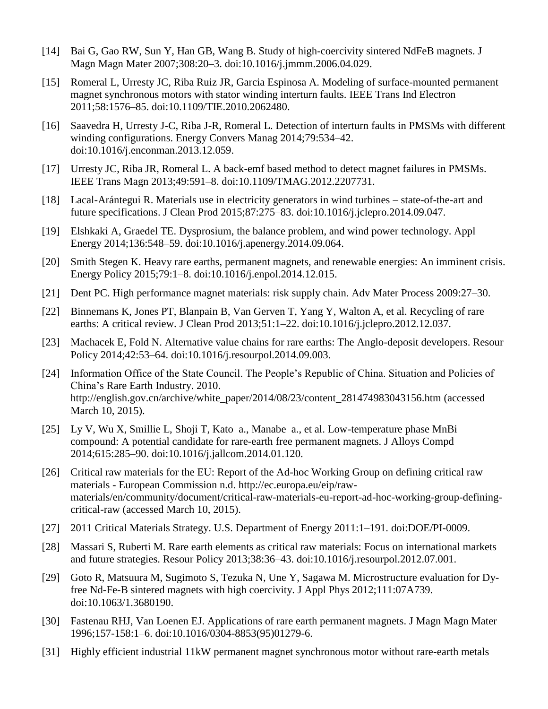- [14] Bai G, Gao RW, Sun Y, Han GB, Wang B. Study of high-coercivity sintered NdFeB magnets. J Magn Magn Mater 2007;308:20–3. doi:10.1016/j.jmmm.2006.04.029.
- [15] Romeral L, Urresty JC, Riba Ruiz JR, Garcia Espinosa A. Modeling of surface-mounted permanent magnet synchronous motors with stator winding interturn faults. IEEE Trans Ind Electron 2011;58:1576–85. doi:10.1109/TIE.2010.2062480.
- [16] Saavedra H, Urresty J-C, Riba J-R, Romeral L. Detection of interturn faults in PMSMs with different winding configurations. Energy Convers Manag 2014;79:534–42. doi:10.1016/j.enconman.2013.12.059.
- [17] Urresty JC, Riba JR, Romeral L. A back-emf based method to detect magnet failures in PMSMs. IEEE Trans Magn 2013;49:591–8. doi:10.1109/TMAG.2012.2207731.
- [18] Lacal-Arántegui R. Materials use in electricity generators in wind turbines state-of-the-art and future specifications. J Clean Prod 2015;87:275–83. doi:10.1016/j.jclepro.2014.09.047.
- [19] Elshkaki A, Graedel TE. Dysprosium, the balance problem, and wind power technology. Appl Energy 2014;136:548–59. doi:10.1016/j.apenergy.2014.09.064.
- [20] Smith Stegen K. Heavy rare earths, permanent magnets, and renewable energies: An imminent crisis. Energy Policy 2015;79:1–8. doi:10.1016/j.enpol.2014.12.015.
- [21] Dent PC. High performance magnet materials: risk supply chain. Adv Mater Process 2009:27–30.
- [22] Binnemans K, Jones PT, Blanpain B, Van Gerven T, Yang Y, Walton A, et al. Recycling of rare earths: A critical review. J Clean Prod 2013;51:1–22. doi:10.1016/j.jclepro.2012.12.037.
- [23] Machacek E, Fold N. Alternative value chains for rare earths: The Anglo-deposit developers. Resour Policy 2014;42:53–64. doi:10.1016/j.resourpol.2014.09.003.
- [24] Information Office of the State Council. The People's Republic of China. Situation and Policies of China's Rare Earth Industry. 2010. http://english.gov.cn/archive/white\_paper/2014/08/23/content\_281474983043156.htm (accessed March 10, 2015).
- [25] Ly V, Wu X, Smillie L, Shoji T, Kato a., Manabe a., et al. Low-temperature phase MnBi compound: A potential candidate for rare-earth free permanent magnets. J Alloys Compd 2014;615:285–90. doi:10.1016/j.jallcom.2014.01.120.
- [26] Critical raw materials for the EU: Report of the Ad-hoc Working Group on defining critical raw materials - European Commission n.d. http://ec.europa.eu/eip/rawmaterials/en/community/document/critical-raw-materials-eu-report-ad-hoc-working-group-definingcritical-raw (accessed March 10, 2015).
- [27] 2011 Critical Materials Strategy. U.S. Department of Energy 2011:1–191. doi:DOE/PI-0009.
- [28] Massari S, Ruberti M. Rare earth elements as critical raw materials: Focus on international markets and future strategies. Resour Policy 2013;38:36–43. doi:10.1016/j.resourpol.2012.07.001.
- [29] Goto R, Matsuura M, Sugimoto S, Tezuka N, Une Y, Sagawa M. Microstructure evaluation for Dyfree Nd-Fe-B sintered magnets with high coercivity. J Appl Phys 2012;111:07A739. doi:10.1063/1.3680190.
- [30] Fastenau RHJ, Van Loenen EJ. Applications of rare earth permanent magnets. J Magn Magn Mater 1996;157-158:1–6. doi:10.1016/0304-8853(95)01279-6.
- [31] Highly efficient industrial 11kW permanent magnet synchronous motor without rare-earth metals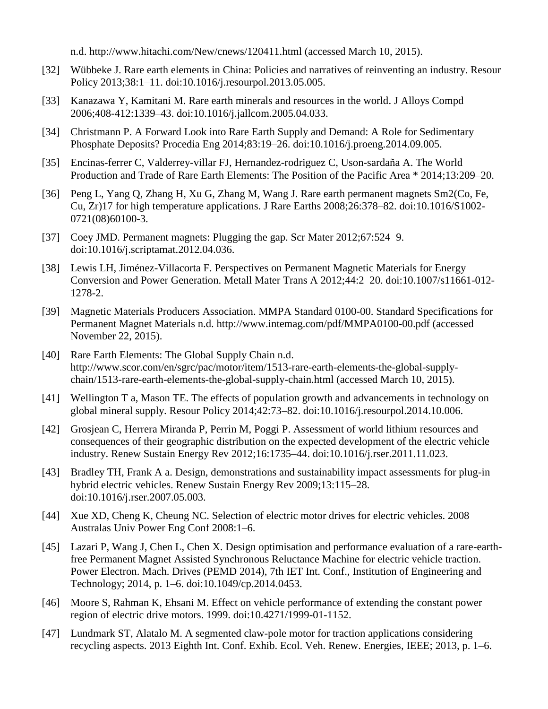n.d. http://www.hitachi.com/New/cnews/120411.html (accessed March 10, 2015).

- [32] Wübbeke J. Rare earth elements in China: Policies and narratives of reinventing an industry. Resour Policy 2013;38:1–11. doi:10.1016/j.resourpol.2013.05.005.
- [33] Kanazawa Y, Kamitani M. Rare earth minerals and resources in the world. J Alloys Compd 2006;408-412:1339–43. doi:10.1016/j.jallcom.2005.04.033.
- [34] Christmann P. A Forward Look into Rare Earth Supply and Demand: A Role for Sedimentary Phosphate Deposits? Procedia Eng 2014;83:19–26. doi:10.1016/j.proeng.2014.09.005.
- [35] Encinas-ferrer C, Valderrey-villar FJ, Hernandez-rodriguez C, Uson-sardaña A. The World Production and Trade of Rare Earth Elements: The Position of the Pacific Area \* 2014;13:209–20.
- [36] Peng L, Yang Q, Zhang H, Xu G, Zhang M, Wang J. Rare earth permanent magnets Sm2(Co, Fe, Cu, Zr)17 for high temperature applications. J Rare Earths 2008;26:378–82. doi:10.1016/S1002- 0721(08)60100-3.
- [37] Coey JMD. Permanent magnets: Plugging the gap. Scr Mater 2012;67:524–9. doi:10.1016/j.scriptamat.2012.04.036.
- [38] Lewis LH, Jiménez-Villacorta F. Perspectives on Permanent Magnetic Materials for Energy Conversion and Power Generation. Metall Mater Trans A 2012;44:2–20. doi:10.1007/s11661-012- 1278-2.
- [39] Magnetic Materials Producers Association. MMPA Standard 0100-00. Standard Specifications for Permanent Magnet Materials n.d. http://www.intemag.com/pdf/MMPA0100-00.pdf (accessed November 22, 2015).
- [40] Rare Earth Elements: The Global Supply Chain n.d. http://www.scor.com/en/sgrc/pac/motor/item/1513-rare-earth-elements-the-global-supplychain/1513-rare-earth-elements-the-global-supply-chain.html (accessed March 10, 2015).
- [41] Wellington T a, Mason TE. The effects of population growth and advancements in technology on global mineral supply. Resour Policy 2014;42:73–82. doi:10.1016/j.resourpol.2014.10.006.
- [42] Grosjean C, Herrera Miranda P, Perrin M, Poggi P. Assessment of world lithium resources and consequences of their geographic distribution on the expected development of the electric vehicle industry. Renew Sustain Energy Rev 2012;16:1735–44. doi:10.1016/j.rser.2011.11.023.
- [43] Bradley TH, Frank A a. Design, demonstrations and sustainability impact assessments for plug-in hybrid electric vehicles. Renew Sustain Energy Rev 2009;13:115–28. doi:10.1016/j.rser.2007.05.003.
- [44] Xue XD, Cheng K, Cheung NC. Selection of electric motor drives for electric vehicles. 2008 Australas Univ Power Eng Conf 2008:1–6.
- [45] Lazari P, Wang J, Chen L, Chen X. Design optimisation and performance evaluation of a rare-earthfree Permanent Magnet Assisted Synchronous Reluctance Machine for electric vehicle traction. Power Electron. Mach. Drives (PEMD 2014), 7th IET Int. Conf., Institution of Engineering and Technology; 2014, p. 1–6. doi:10.1049/cp.2014.0453.
- [46] Moore S, Rahman K, Ehsani M. Effect on vehicle performance of extending the constant power region of electric drive motors. 1999. doi:10.4271/1999-01-1152.
- [47] Lundmark ST, Alatalo M. A segmented claw-pole motor for traction applications considering recycling aspects. 2013 Eighth Int. Conf. Exhib. Ecol. Veh. Renew. Energies, IEEE; 2013, p. 1–6.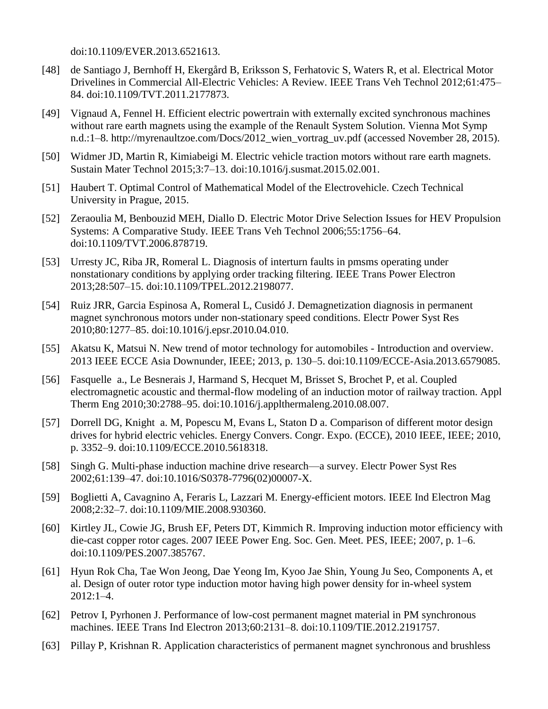doi:10.1109/EVER.2013.6521613.

- [48] de Santiago J, Bernhoff H, Ekergård B, Eriksson S, Ferhatovic S, Waters R, et al. Electrical Motor Drivelines in Commercial All-Electric Vehicles: A Review. IEEE Trans Veh Technol 2012;61:475– 84. doi:10.1109/TVT.2011.2177873.
- [49] Vignaud A, Fennel H. Efficient electric powertrain with externally excited synchronous machines without rare earth magnets using the example of the Renault System Solution. Vienna Mot Symp n.d.:1–8. http://myrenaultzoe.com/Docs/2012\_wien\_vortrag\_uv.pdf (accessed November 28, 2015).
- [50] Widmer JD, Martin R, Kimiabeigi M. Electric vehicle traction motors without rare earth magnets. Sustain Mater Technol 2015;3:7–13. doi:10.1016/j.susmat.2015.02.001.
- [51] Haubert T. Optimal Control of Mathematical Model of the Electrovehicle. Czech Technical University in Prague, 2015.
- [52] Zeraoulia M, Benbouzid MEH, Diallo D. Electric Motor Drive Selection Issues for HEV Propulsion Systems: A Comparative Study. IEEE Trans Veh Technol 2006;55:1756–64. doi:10.1109/TVT.2006.878719.
- [53] Urresty JC, Riba JR, Romeral L. Diagnosis of interturn faults in pmsms operating under nonstationary conditions by applying order tracking filtering. IEEE Trans Power Electron 2013;28:507–15. doi:10.1109/TPEL.2012.2198077.
- [54] Ruiz JRR, Garcia Espinosa A, Romeral L, Cusidó J. Demagnetization diagnosis in permanent magnet synchronous motors under non-stationary speed conditions. Electr Power Syst Res 2010;80:1277–85. doi:10.1016/j.epsr.2010.04.010.
- [55] Akatsu K, Matsui N. New trend of motor technology for automobiles Introduction and overview. 2013 IEEE ECCE Asia Downunder, IEEE; 2013, p. 130–5. doi:10.1109/ECCE-Asia.2013.6579085.
- [56] Fasquelle a., Le Besnerais J, Harmand S, Hecquet M, Brisset S, Brochet P, et al. Coupled electromagnetic acoustic and thermal-flow modeling of an induction motor of railway traction. Appl Therm Eng 2010;30:2788–95. doi:10.1016/j.applthermaleng.2010.08.007.
- [57] Dorrell DG, Knight a. M, Popescu M, Evans L, Staton D a. Comparison of different motor design drives for hybrid electric vehicles. Energy Convers. Congr. Expo. (ECCE), 2010 IEEE, IEEE; 2010, p. 3352–9. doi:10.1109/ECCE.2010.5618318.
- [58] Singh G. Multi-phase induction machine drive research—a survey. Electr Power Syst Res 2002;61:139–47. doi:10.1016/S0378-7796(02)00007-X.
- [59] Boglietti A, Cavagnino A, Feraris L, Lazzari M. Energy-efficient motors. IEEE Ind Electron Mag 2008;2:32–7. doi:10.1109/MIE.2008.930360.
- [60] Kirtley JL, Cowie JG, Brush EF, Peters DT, Kimmich R. Improving induction motor efficiency with die-cast copper rotor cages. 2007 IEEE Power Eng. Soc. Gen. Meet. PES, IEEE; 2007, p. 1–6. doi:10.1109/PES.2007.385767.
- [61] Hyun Rok Cha, Tae Won Jeong, Dae Yeong Im, Kyoo Jae Shin, Young Ju Seo, Components A, et al. Design of outer rotor type induction motor having high power density for in-wheel system 2012:1–4.
- [62] Petrov I, Pyrhonen J. Performance of low-cost permanent magnet material in PM synchronous machines. IEEE Trans Ind Electron 2013;60:2131–8. doi:10.1109/TIE.2012.2191757.
- [63] Pillay P, Krishnan R. Application characteristics of permanent magnet synchronous and brushless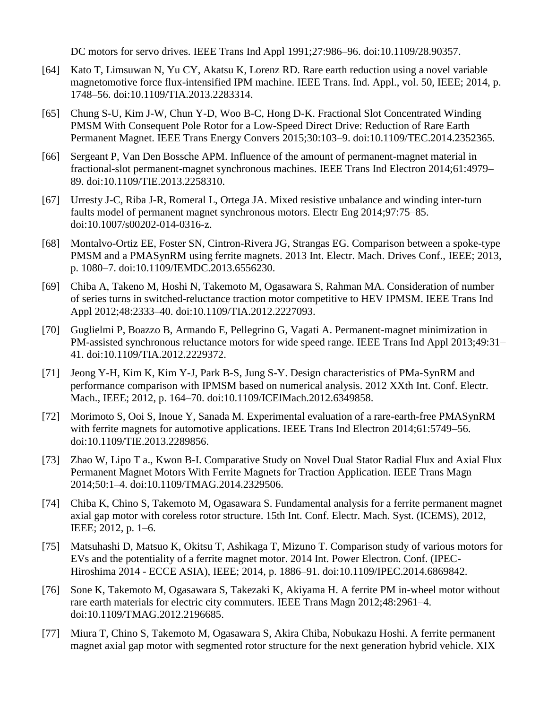DC motors for servo drives. IEEE Trans Ind Appl 1991;27:986–96. doi:10.1109/28.90357.

- [64] Kato T, Limsuwan N, Yu CY, Akatsu K, Lorenz RD. Rare earth reduction using a novel variable magnetomotive force flux-intensified IPM machine. IEEE Trans. Ind. Appl., vol. 50, IEEE; 2014, p. 1748–56. doi:10.1109/TIA.2013.2283314.
- [65] Chung S-U, Kim J-W, Chun Y-D, Woo B-C, Hong D-K. Fractional Slot Concentrated Winding PMSM With Consequent Pole Rotor for a Low-Speed Direct Drive: Reduction of Rare Earth Permanent Magnet. IEEE Trans Energy Convers 2015;30:103–9. doi:10.1109/TEC.2014.2352365.
- [66] Sergeant P, Van Den Bossche APM. Influence of the amount of permanent-magnet material in fractional-slot permanent-magnet synchronous machines. IEEE Trans Ind Electron 2014;61:4979– 89. doi:10.1109/TIE.2013.2258310.
- [67] Urresty J-C, Riba J-R, Romeral L, Ortega JA. Mixed resistive unbalance and winding inter-turn faults model of permanent magnet synchronous motors. Electr Eng 2014;97:75–85. doi:10.1007/s00202-014-0316-z.
- [68] Montalvo-Ortiz EE, Foster SN, Cintron-Rivera JG, Strangas EG. Comparison between a spoke-type PMSM and a PMASynRM using ferrite magnets. 2013 Int. Electr. Mach. Drives Conf., IEEE; 2013, p. 1080–7. doi:10.1109/IEMDC.2013.6556230.
- [69] Chiba A, Takeno M, Hoshi N, Takemoto M, Ogasawara S, Rahman MA. Consideration of number of series turns in switched-reluctance traction motor competitive to HEV IPMSM. IEEE Trans Ind Appl 2012;48:2333–40. doi:10.1109/TIA.2012.2227093.
- [70] Guglielmi P, Boazzo B, Armando E, Pellegrino G, Vagati A. Permanent-magnet minimization in PM-assisted synchronous reluctance motors for wide speed range. IEEE Trans Ind Appl 2013;49:31– 41. doi:10.1109/TIA.2012.2229372.
- [71] Jeong Y-H, Kim K, Kim Y-J, Park B-S, Jung S-Y. Design characteristics of PMa-SynRM and performance comparison with IPMSM based on numerical analysis. 2012 XXth Int. Conf. Electr. Mach., IEEE; 2012, p. 164–70. doi:10.1109/ICElMach.2012.6349858.
- [72] Morimoto S, Ooi S, Inoue Y, Sanada M. Experimental evaluation of a rare-earth-free PMASynRM with ferrite magnets for automotive applications. IEEE Trans Ind Electron 2014;61:5749–56. doi:10.1109/TIE.2013.2289856.
- [73] Zhao W, Lipo T a., Kwon B-I. Comparative Study on Novel Dual Stator Radial Flux and Axial Flux Permanent Magnet Motors With Ferrite Magnets for Traction Application. IEEE Trans Magn 2014;50:1–4. doi:10.1109/TMAG.2014.2329506.
- [74] Chiba K, Chino S, Takemoto M, Ogasawara S. Fundamental analysis for a ferrite permanent magnet axial gap motor with coreless rotor structure. 15th Int. Conf. Electr. Mach. Syst. (ICEMS), 2012, IEEE; 2012, p. 1–6.
- [75] Matsuhashi D, Matsuo K, Okitsu T, Ashikaga T, Mizuno T. Comparison study of various motors for EVs and the potentiality of a ferrite magnet motor. 2014 Int. Power Electron. Conf. (IPEC-Hiroshima 2014 - ECCE ASIA), IEEE; 2014, p. 1886–91. doi:10.1109/IPEC.2014.6869842.
- [76] Sone K, Takemoto M, Ogasawara S, Takezaki K, Akiyama H. A ferrite PM in-wheel motor without rare earth materials for electric city commuters. IEEE Trans Magn 2012;48:2961–4. doi:10.1109/TMAG.2012.2196685.
- [77] Miura T, Chino S, Takemoto M, Ogasawara S, Akira Chiba, Nobukazu Hoshi. A ferrite permanent magnet axial gap motor with segmented rotor structure for the next generation hybrid vehicle. XIX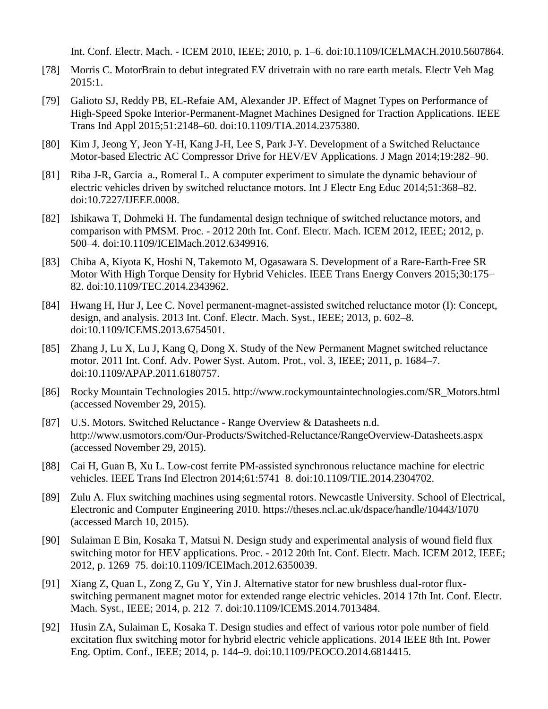Int. Conf. Electr. Mach. - ICEM 2010, IEEE; 2010, p. 1–6. doi:10.1109/ICELMACH.2010.5607864.

- [78] Morris C. MotorBrain to debut integrated EV drivetrain with no rare earth metals. Electr Veh Mag 2015:1.
- [79] Galioto SJ, Reddy PB, EL-Refaie AM, Alexander JP. Effect of Magnet Types on Performance of High-Speed Spoke Interior-Permanent-Magnet Machines Designed for Traction Applications. IEEE Trans Ind Appl 2015;51:2148–60. doi:10.1109/TIA.2014.2375380.
- [80] Kim J, Jeong Y, Jeon Y-H, Kang J-H, Lee S, Park J-Y. Development of a Switched Reluctance Motor-based Electric AC Compressor Drive for HEV/EV Applications. J Magn 2014;19:282–90.
- [81] Riba J-R, Garcia a., Romeral L. A computer experiment to simulate the dynamic behaviour of electric vehicles driven by switched reluctance motors. Int J Electr Eng Educ 2014;51:368–82. doi:10.7227/IJEEE.0008.
- [82] Ishikawa T, Dohmeki H. The fundamental design technique of switched reluctance motors, and comparison with PMSM. Proc. - 2012 20th Int. Conf. Electr. Mach. ICEM 2012, IEEE; 2012, p. 500–4. doi:10.1109/ICElMach.2012.6349916.
- [83] Chiba A, Kiyota K, Hoshi N, Takemoto M, Ogasawara S. Development of a Rare-Earth-Free SR Motor With High Torque Density for Hybrid Vehicles. IEEE Trans Energy Convers 2015;30:175– 82. doi:10.1109/TEC.2014.2343962.
- [84] Hwang H, Hur J, Lee C. Novel permanent-magnet-assisted switched reluctance motor (I): Concept, design, and analysis. 2013 Int. Conf. Electr. Mach. Syst., IEEE; 2013, p. 602–8. doi:10.1109/ICEMS.2013.6754501.
- [85] Zhang J, Lu X, Lu J, Kang Q, Dong X. Study of the New Permanent Magnet switched reluctance motor. 2011 Int. Conf. Adv. Power Syst. Autom. Prot., vol. 3, IEEE; 2011, p. 1684–7. doi:10.1109/APAP.2011.6180757.
- [86] Rocky Mountain Technologies 2015. http://www.rockymountaintechnologies.com/SR\_Motors.html (accessed November 29, 2015).
- [87] U.S. Motors. Switched Reluctance Range Overview & Datasheets n.d. http://www.usmotors.com/Our-Products/Switched-Reluctance/RangeOverview-Datasheets.aspx (accessed November 29, 2015).
- [88] Cai H, Guan B, Xu L. Low-cost ferrite PM-assisted synchronous reluctance machine for electric vehicles. IEEE Trans Ind Electron 2014;61:5741–8. doi:10.1109/TIE.2014.2304702.
- [89] Zulu A. Flux switching machines using segmental rotors. Newcastle University. School of Electrical, Electronic and Computer Engineering 2010. https://theses.ncl.ac.uk/dspace/handle/10443/1070 (accessed March 10, 2015).
- [90] Sulaiman E Bin, Kosaka T, Matsui N. Design study and experimental analysis of wound field flux switching motor for HEV applications. Proc. - 2012 20th Int. Conf. Electr. Mach. ICEM 2012, IEEE; 2012, p. 1269–75. doi:10.1109/ICElMach.2012.6350039.
- [91] Xiang Z, Quan L, Zong Z, Gu Y, Yin J. Alternative stator for new brushless dual-rotor fluxswitching permanent magnet motor for extended range electric vehicles. 2014 17th Int. Conf. Electr. Mach. Syst., IEEE; 2014, p. 212–7. doi:10.1109/ICEMS.2014.7013484.
- [92] Husin ZA, Sulaiman E, Kosaka T. Design studies and effect of various rotor pole number of field excitation flux switching motor for hybrid electric vehicle applications. 2014 IEEE 8th Int. Power Eng. Optim. Conf., IEEE; 2014, p. 144–9. doi:10.1109/PEOCO.2014.6814415.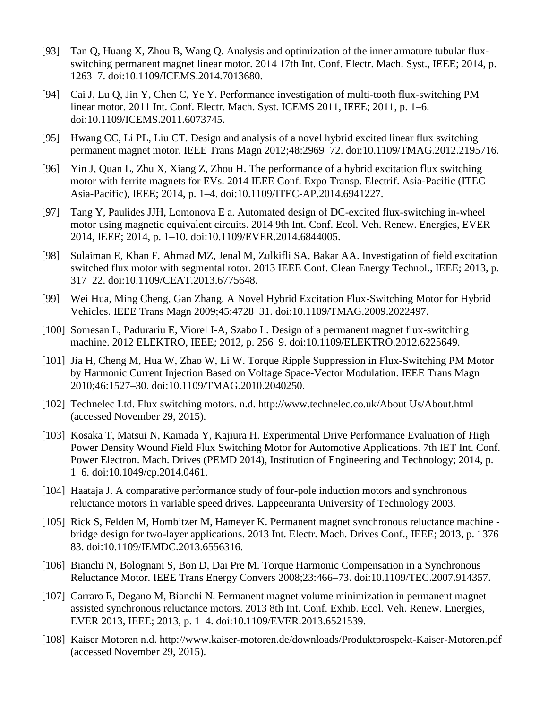- [93] Tan Q, Huang X, Zhou B, Wang Q. Analysis and optimization of the inner armature tubular fluxswitching permanent magnet linear motor. 2014 17th Int. Conf. Electr. Mach. Syst., IEEE; 2014, p. 1263–7. doi:10.1109/ICEMS.2014.7013680.
- [94] Cai J, Lu Q, Jin Y, Chen C, Ye Y. Performance investigation of multi-tooth flux-switching PM linear motor. 2011 Int. Conf. Electr. Mach. Syst. ICEMS 2011, IEEE; 2011, p. 1–6. doi:10.1109/ICEMS.2011.6073745.
- [95] Hwang CC, Li PL, Liu CT. Design and analysis of a novel hybrid excited linear flux switching permanent magnet motor. IEEE Trans Magn 2012;48:2969–72. doi:10.1109/TMAG.2012.2195716.
- [96] Yin J, Quan L, Zhu X, Xiang Z, Zhou H. The performance of a hybrid excitation flux switching motor with ferrite magnets for EVs. 2014 IEEE Conf. Expo Transp. Electrif. Asia-Pacific (ITEC Asia-Pacific), IEEE; 2014, p. 1–4. doi:10.1109/ITEC-AP.2014.6941227.
- [97] Tang Y, Paulides JJH, Lomonova E a. Automated design of DC-excited flux-switching in-wheel motor using magnetic equivalent circuits. 2014 9th Int. Conf. Ecol. Veh. Renew. Energies, EVER 2014, IEEE; 2014, p. 1–10. doi:10.1109/EVER.2014.6844005.
- [98] Sulaiman E, Khan F, Ahmad MZ, Jenal M, Zulkifli SA, Bakar AA. Investigation of field excitation switched flux motor with segmental rotor. 2013 IEEE Conf. Clean Energy Technol., IEEE; 2013, p. 317–22. doi:10.1109/CEAT.2013.6775648.
- [99] Wei Hua, Ming Cheng, Gan Zhang. A Novel Hybrid Excitation Flux-Switching Motor for Hybrid Vehicles. IEEE Trans Magn 2009;45:4728–31. doi:10.1109/TMAG.2009.2022497.
- [100] Somesan L, Padurariu E, Viorel I-A, Szabo L. Design of a permanent magnet flux-switching machine. 2012 ELEKTRO, IEEE; 2012, p. 256–9. doi:10.1109/ELEKTRO.2012.6225649.
- [101] Jia H, Cheng M, Hua W, Zhao W, Li W. Torque Ripple Suppression in Flux-Switching PM Motor by Harmonic Current Injection Based on Voltage Space-Vector Modulation. IEEE Trans Magn 2010;46:1527–30. doi:10.1109/TMAG.2010.2040250.
- [102] Technelec Ltd. Flux switching motors. n.d. http://www.technelec.co.uk/About Us/About.html (accessed November 29, 2015).
- [103] Kosaka T, Matsui N, Kamada Y, Kajiura H. Experimental Drive Performance Evaluation of High Power Density Wound Field Flux Switching Motor for Automotive Applications. 7th IET Int. Conf. Power Electron. Mach. Drives (PEMD 2014), Institution of Engineering and Technology; 2014, p. 1–6. doi:10.1049/cp.2014.0461.
- [104] Haataja J. A comparative performance study of four-pole induction motors and synchronous reluctance motors in variable speed drives. Lappeenranta University of Technology 2003.
- [105] Rick S, Felden M, Hombitzer M, Hameyer K. Permanent magnet synchronous reluctance machine bridge design for two-layer applications. 2013 Int. Electr. Mach. Drives Conf., IEEE; 2013, p. 1376– 83. doi:10.1109/IEMDC.2013.6556316.
- [106] Bianchi N, Bolognani S, Bon D, Dai Pre M. Torque Harmonic Compensation in a Synchronous Reluctance Motor. IEEE Trans Energy Convers 2008;23:466–73. doi:10.1109/TEC.2007.914357.
- [107] Carraro E, Degano M, Bianchi N. Permanent magnet volume minimization in permanent magnet assisted synchronous reluctance motors. 2013 8th Int. Conf. Exhib. Ecol. Veh. Renew. Energies, EVER 2013, IEEE; 2013, p. 1–4. doi:10.1109/EVER.2013.6521539.
- [108] Kaiser Motoren n.d. http://www.kaiser-motoren.de/downloads/Produktprospekt-Kaiser-Motoren.pdf (accessed November 29, 2015).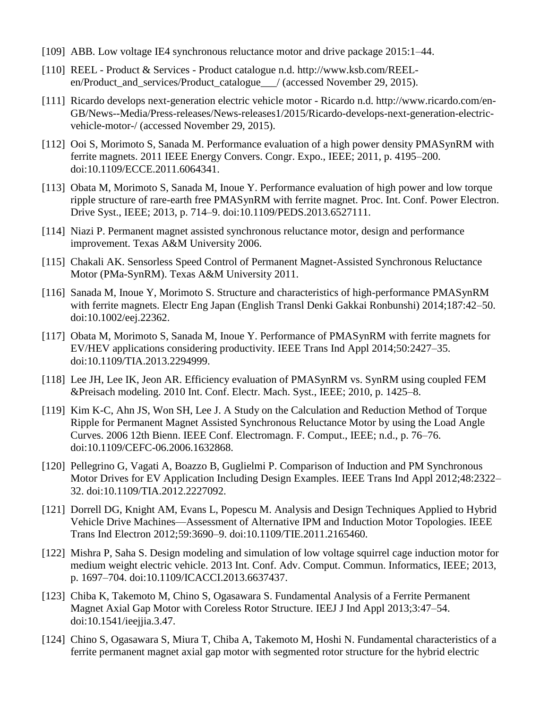- [109] ABB. Low voltage IE4 synchronous reluctance motor and drive package 2015:1–44.
- [110] REEL Product & Services Product catalogue n.d. http://www.ksb.com/REELen/Product\_and\_services/Product\_catalogue\_\_\_/ (accessed November 29, 2015).
- [111] Ricardo develops next-generation electric vehicle motor Ricardo n.d. http://www.ricardo.com/en-GB/News--Media/Press-releases/News-releases1/2015/Ricardo-develops-next-generation-electricvehicle-motor-/ (accessed November 29, 2015).
- [112] Ooi S, Morimoto S, Sanada M. Performance evaluation of a high power density PMASynRM with ferrite magnets. 2011 IEEE Energy Convers. Congr. Expo., IEEE; 2011, p. 4195–200. doi:10.1109/ECCE.2011.6064341.
- [113] Obata M, Morimoto S, Sanada M, Inoue Y. Performance evaluation of high power and low torque ripple structure of rare-earth free PMASynRM with ferrite magnet. Proc. Int. Conf. Power Electron. Drive Syst., IEEE; 2013, p. 714–9. doi:10.1109/PEDS.2013.6527111.
- [114] Niazi P. Permanent magnet assisted synchronous reluctance motor, design and performance improvement. Texas A&M University 2006.
- [115] Chakali AK. Sensorless Speed Control of Permanent Magnet-Assisted Synchronous Reluctance Motor (PMa-SynRM). Texas A&M University 2011.
- [116] Sanada M, Inoue Y, Morimoto S. Structure and characteristics of high-performance PMASynRM with ferrite magnets. Electr Eng Japan (English Transl Denki Gakkai Ronbunshi) 2014;187:42–50. doi:10.1002/eej.22362.
- [117] Obata M, Morimoto S, Sanada M, Inoue Y. Performance of PMASynRM with ferrite magnets for EV/HEV applications considering productivity. IEEE Trans Ind Appl 2014;50:2427–35. doi:10.1109/TIA.2013.2294999.
- [118] Lee JH, Lee IK, Jeon AR. Efficiency evaluation of PMASynRM vs. SynRM using coupled FEM &Preisach modeling. 2010 Int. Conf. Electr. Mach. Syst., IEEE; 2010, p. 1425–8.
- [119] Kim K-C, Ahn JS, Won SH, Lee J. A Study on the Calculation and Reduction Method of Torque Ripple for Permanent Magnet Assisted Synchronous Reluctance Motor by using the Load Angle Curves. 2006 12th Bienn. IEEE Conf. Electromagn. F. Comput., IEEE; n.d., p. 76–76. doi:10.1109/CEFC-06.2006.1632868.
- [120] Pellegrino G, Vagati A, Boazzo B, Guglielmi P. Comparison of Induction and PM Synchronous Motor Drives for EV Application Including Design Examples. IEEE Trans Ind Appl 2012;48:2322– 32. doi:10.1109/TIA.2012.2227092.
- [121] Dorrell DG, Knight AM, Evans L, Popescu M. Analysis and Design Techniques Applied to Hybrid Vehicle Drive Machines—Assessment of Alternative IPM and Induction Motor Topologies. IEEE Trans Ind Electron 2012;59:3690–9. doi:10.1109/TIE.2011.2165460.
- [122] Mishra P, Saha S. Design modeling and simulation of low voltage squirrel cage induction motor for medium weight electric vehicle. 2013 Int. Conf. Adv. Comput. Commun. Informatics, IEEE; 2013, p. 1697–704. doi:10.1109/ICACCI.2013.6637437.
- [123] Chiba K, Takemoto M, Chino S, Ogasawara S. Fundamental Analysis of a Ferrite Permanent Magnet Axial Gap Motor with Coreless Rotor Structure. IEEJ J Ind Appl 2013;3:47–54. doi:10.1541/ieejjia.3.47.
- [124] Chino S, Ogasawara S, Miura T, Chiba A, Takemoto M, Hoshi N. Fundamental characteristics of a ferrite permanent magnet axial gap motor with segmented rotor structure for the hybrid electric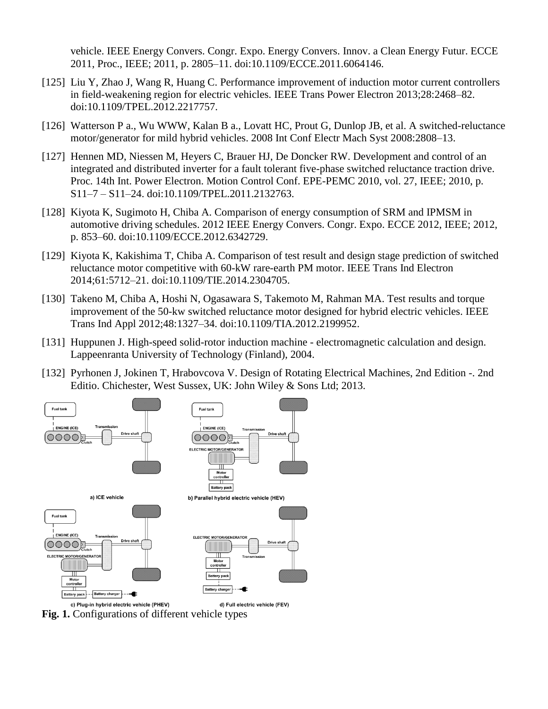vehicle. IEEE Energy Convers. Congr. Expo. Energy Convers. Innov. a Clean Energy Futur. ECCE 2011, Proc., IEEE; 2011, p. 2805–11. doi:10.1109/ECCE.2011.6064146.

- [125] Liu Y, Zhao J, Wang R, Huang C. Performance improvement of induction motor current controllers in field-weakening region for electric vehicles. IEEE Trans Power Electron 2013;28:2468–82. doi:10.1109/TPEL.2012.2217757.
- [126] Watterson P a., Wu WWW, Kalan B a., Lovatt HC, Prout G, Dunlop JB, et al. A switched-reluctance motor/generator for mild hybrid vehicles. 2008 Int Conf Electr Mach Syst 2008:2808–13.
- [127] Hennen MD, Niessen M, Heyers C, Brauer HJ, De Doncker RW. Development and control of an integrated and distributed inverter for a fault tolerant five-phase switched reluctance traction drive. Proc. 14th Int. Power Electron. Motion Control Conf. EPE-PEMC 2010, vol. 27, IEEE; 2010, p. S11–7 – S11–24. doi:10.1109/TPEL.2011.2132763.
- [128] Kiyota K, Sugimoto H, Chiba A. Comparison of energy consumption of SRM and IPMSM in automotive driving schedules. 2012 IEEE Energy Convers. Congr. Expo. ECCE 2012, IEEE; 2012, p. 853–60. doi:10.1109/ECCE.2012.6342729.
- [129] Kiyota K, Kakishima T, Chiba A. Comparison of test result and design stage prediction of switched reluctance motor competitive with 60-kW rare-earth PM motor. IEEE Trans Ind Electron 2014;61:5712–21. doi:10.1109/TIE.2014.2304705.
- [130] Takeno M, Chiba A, Hoshi N, Ogasawara S, Takemoto M, Rahman MA. Test results and torque improvement of the 50-kw switched reluctance motor designed for hybrid electric vehicles. IEEE Trans Ind Appl 2012;48:1327–34. doi:10.1109/TIA.2012.2199952.
- [131] Huppunen J. High-speed solid-rotor induction machine electromagnetic calculation and design. Lappeenranta University of Technology (Finland), 2004.
- [132] Pyrhonen J, Jokinen T, Hrabovcova V. Design of Rotating Electrical Machines, 2nd Edition -. 2nd Editio. Chichester, West Sussex, UK: John Wiley & Sons Ltd; 2013.



c) Plug-in hybrid electric vehicle (PHEV) d) Full electric vehicle (FEV) **Fig. 1.** Configurations of different vehicle types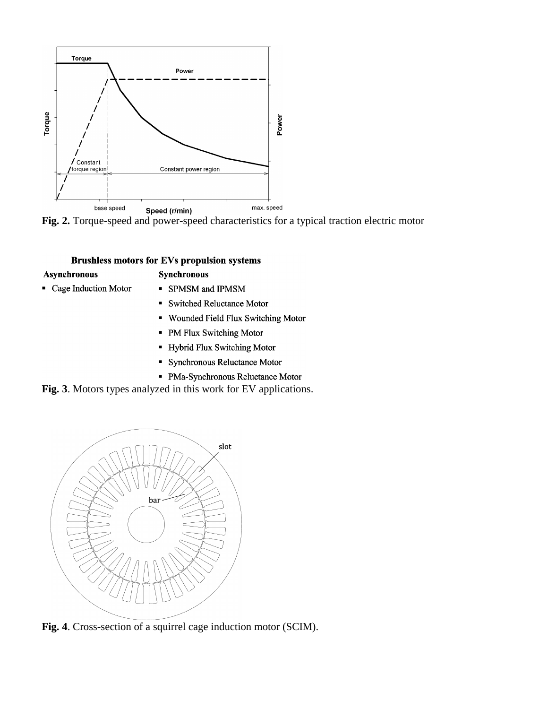

**Fig. 2.** Torque-speed and power-speed characteristics for a typical traction electric motor

| <b>Brushless motors for EVs propulsion systems</b> |  |  |  |
|----------------------------------------------------|--|--|--|
|                                                    |  |  |  |

## Asynchronous

#### **Synchronous**

- Cage Induction Motor
- SPMSM and IPMSM
- Switched Reluctance Motor
- " Wounded Field Flux Switching Motor
- PM Flux Switching Motor
- Hybrid Flux Switching Motor
- Synchronous Reluctance Motor
- PMa-Synchronous Reluctance Motor
- **Fig. 3**. Motors types analyzed in this work for EV applications.



**Fig. 4**. Cross-section of a squirrel cage induction motor (SCIM).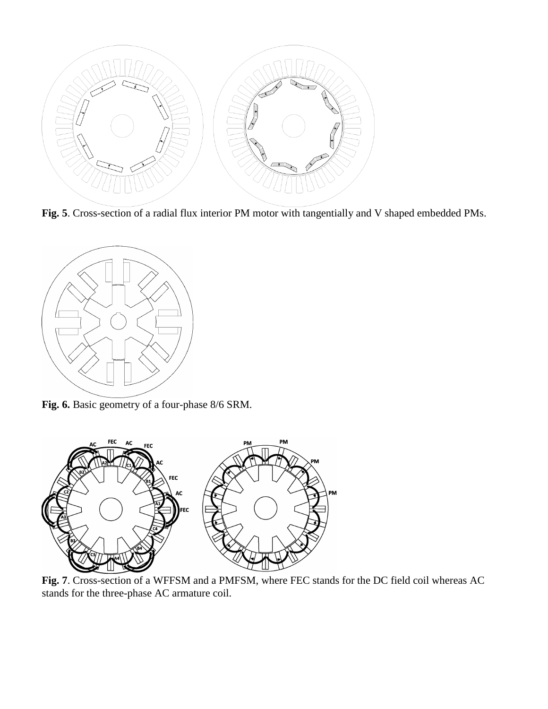

**Fig. 5**. Cross-section of a radial flux interior PM motor with tangentially and V shaped embedded PMs.



**Fig. 6.** Basic geometry of a four-phase 8/6 SRM.



**Fig. 7**. Cross-section of a WFFSM and a PMFSM, where FEC stands for the DC field coil whereas AC stands for the three-phase AC armature coil.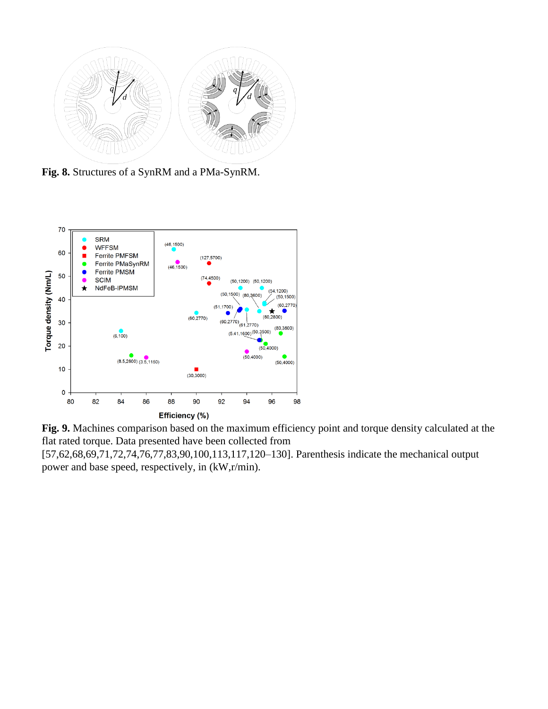

**Fig. 8.** Structures of a SynRM and a PMa-SynRM.



**Fig. 9.** Machines comparison based on the maximum efficiency point and torque density calculated at the flat rated torque. Data presented have been collected from

[57,62,68,69,71,72,74,76,77,83,90,100,113,117,120–130]. Parenthesis indicate the mechanical output power and base speed, respectively, in (kW,r/min).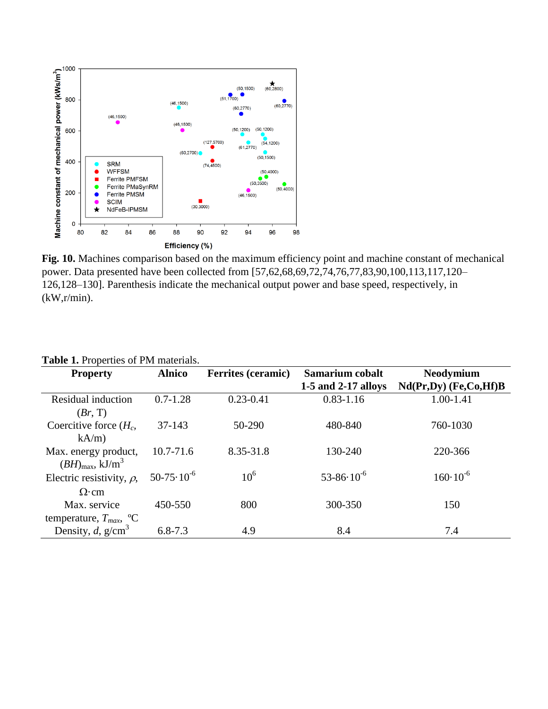

**Fig. 10.** Machines comparison based on the maximum efficiency point and machine constant of mechanical power. Data presented have been collected from [57,62,68,69,72,74,76,77,83,90,100,113,117,120– 126,128–130]. Parenthesis indicate the mechanical output power and base speed, respectively, in  $(kW,r/min)$ .

| <b>Table 1.</b> Properties of PM materials.<br><b>Property</b>  | <b>Alnico</b>           | <b>Ferrites (ceramic)</b> | Samarium cobalt         | <b>Neodymium</b>         |
|-----------------------------------------------------------------|-------------------------|---------------------------|-------------------------|--------------------------|
|                                                                 |                         |                           | 1-5 and 2-17 alloys     | $Nd(Pr, Dy)$ (Fe,Co,Hf)B |
| Residual induction<br>(Br, T)                                   | $0.7 - 1.28$            | $0.23 - 0.41$             | $0.83 - 1.16$           | 1.00-1.41                |
| Coercitive force $(H_c)$<br>$kA/m$ )                            | $37 - 143$              | 50-290                    | 480-840                 | 760-1030                 |
| Max. energy product,<br>$(BH)_{\text{max}}$ , kJ/m <sup>3</sup> | $10.7 - 71.6$           | 8.35-31.8                 | 130-240                 | 220-366                  |
| Electric resistivity, $\rho$ ,<br>$\Omega$ ·cm                  | $50 - 75 \cdot 10^{-6}$ | 10 <sup>6</sup>           | $53 - 86 \cdot 10^{-6}$ | $160 \cdot 10^{-6}$      |
| Max. service<br>temperature, $T_{max}$ , °C                     | 450-550                 | 800                       | 300-350                 | 150                      |
| Density, d, $g/cm3$                                             | $6.8 - 7.3$             | 4.9                       | 8.4                     | 7.4                      |

|  | <b>Table 1.</b> Properties of PM materials. |  |  |
|--|---------------------------------------------|--|--|
|--|---------------------------------------------|--|--|